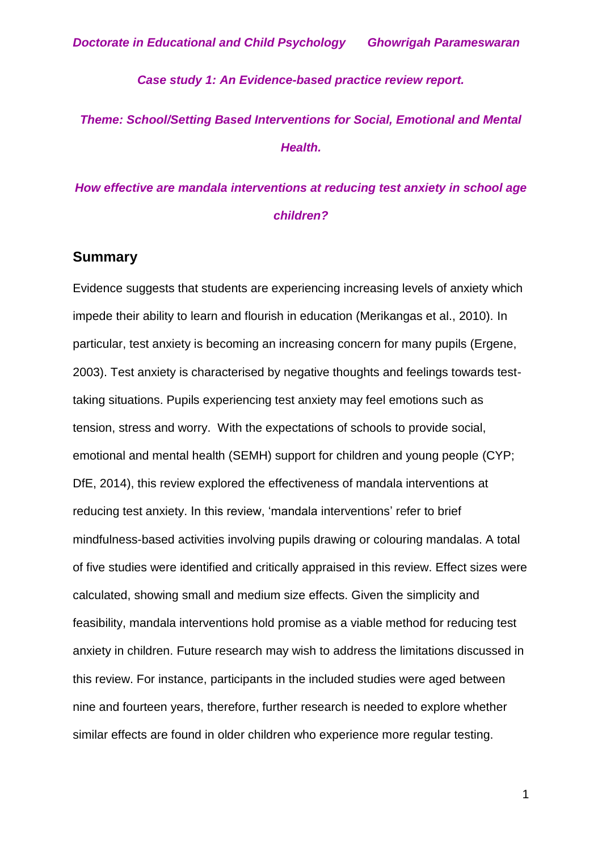#### *Case study 1: An Evidence-based practice review report.*

# *Theme: School/Setting Based Interventions for Social, Emotional and Mental Health.*

# *How effective are mandala interventions at reducing test anxiety in school age children?*

#### **Summary**

Evidence suggests that students are experiencing increasing levels of anxiety which impede their ability to learn and flourish in education (Merikangas et al., 2010). In particular, test anxiety is becoming an increasing concern for many pupils (Ergene, 2003). Test anxiety is characterised by negative thoughts and feelings towards testtaking situations. Pupils experiencing test anxiety may feel emotions such as tension, stress and worry. With the expectations of schools to provide social, emotional and mental health (SEMH) support for children and young people (CYP; DfE, 2014), this review explored the effectiveness of mandala interventions at reducing test anxiety. In this review, 'mandala interventions' refer to brief mindfulness-based activities involving pupils drawing or colouring mandalas. A total of five studies were identified and critically appraised in this review. Effect sizes were calculated, showing small and medium size effects. Given the simplicity and feasibility, mandala interventions hold promise as a viable method for reducing test anxiety in children. Future research may wish to address the limitations discussed in this review. For instance, participants in the included studies were aged between nine and fourteen years, therefore, further research is needed to explore whether similar effects are found in older children who experience more regular testing.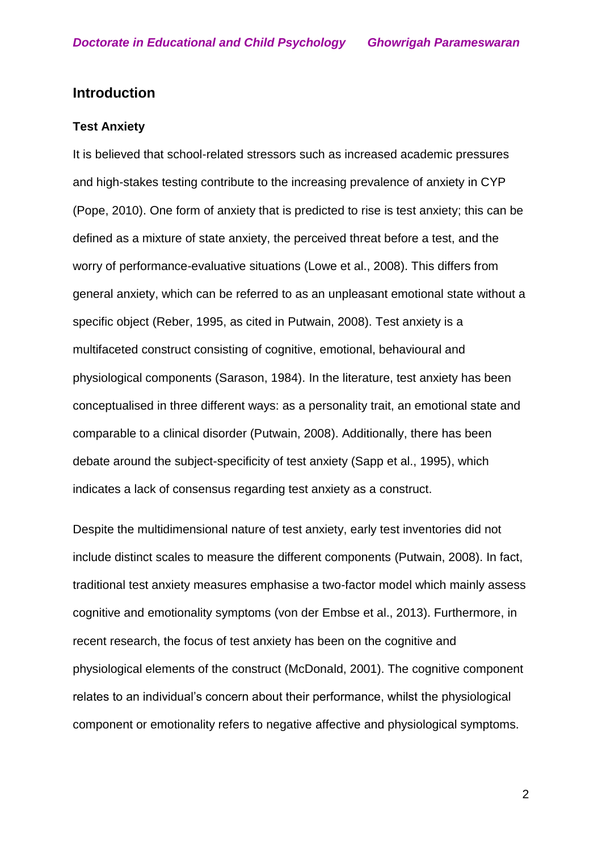# **Introduction**

#### **Test Anxiety**

It is believed that school-related stressors such as increased academic pressures and high-stakes testing contribute to the increasing prevalence of anxiety in CYP (Pope, 2010). One form of anxiety that is predicted to rise is test anxiety; this can be defined as a mixture of state anxiety, the perceived threat before a test, and the worry of performance-evaluative situations (Lowe et al., 2008). This differs from general anxiety, which can be referred to as an unpleasant emotional state without a specific object (Reber, 1995, as cited in Putwain, 2008). Test anxiety is a multifaceted construct consisting of cognitive, emotional, behavioural and physiological components (Sarason, 1984). In the literature, test anxiety has been conceptualised in three different ways: as a personality trait, an emotional state and comparable to a clinical disorder (Putwain, 2008). Additionally, there has been debate around the subject-specificity of test anxiety (Sapp et al., 1995), which indicates a lack of consensus regarding test anxiety as a construct.

Despite the multidimensional nature of test anxiety, early test inventories did not include distinct scales to measure the different components (Putwain, 2008). In fact, traditional test anxiety measures emphasise a two-factor model which mainly assess cognitive and emotionality symptoms (von der Embse et al., 2013). Furthermore, in recent research, the focus of test anxiety has been on the cognitive and physiological elements of the construct (McDonald, 2001). The cognitive component relates to an individual's concern about their performance, whilst the physiological component or emotionality refers to negative affective and physiological symptoms.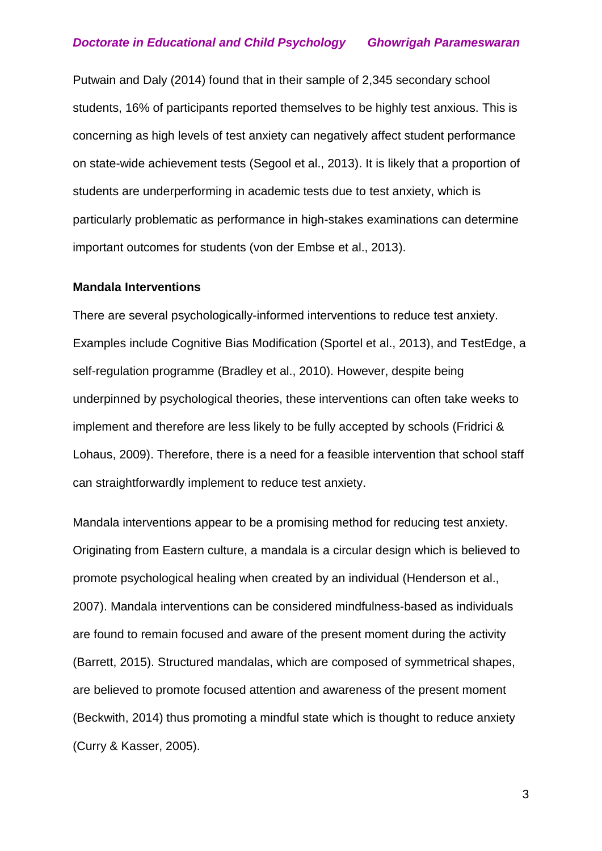Putwain and Daly (2014) found that in their sample of 2,345 secondary school students, 16% of participants reported themselves to be highly test anxious. This is concerning as high levels of test anxiety can negatively affect student performance on state-wide achievement tests (Segool et al., 2013). It is likely that a proportion of students are underperforming in academic tests due to test anxiety, which is particularly problematic as performance in high-stakes examinations can determine important outcomes for students (von der Embse et al., 2013).

#### **Mandala Interventions**

There are several psychologically-informed interventions to reduce test anxiety. Examples include Cognitive Bias Modification (Sportel et al., 2013), and TestEdge, a self-regulation programme (Bradley et al., 2010). However, despite being underpinned by psychological theories, these interventions can often take weeks to implement and therefore are less likely to be fully accepted by schools (Fridrici & Lohaus, 2009). Therefore, there is a need for a feasible intervention that school staff can straightforwardly implement to reduce test anxiety.

Mandala interventions appear to be a promising method for reducing test anxiety. Originating from Eastern culture, a mandala is a circular design which is believed to promote psychological healing when created by an individual (Henderson et al., 2007). Mandala interventions can be considered mindfulness-based as individuals are found to remain focused and aware of the present moment during the activity (Barrett, 2015). Structured mandalas, which are composed of symmetrical shapes, are believed to promote focused attention and awareness of the present moment (Beckwith, 2014) thus promoting a mindful state which is thought to reduce anxiety (Curry & Kasser, 2005).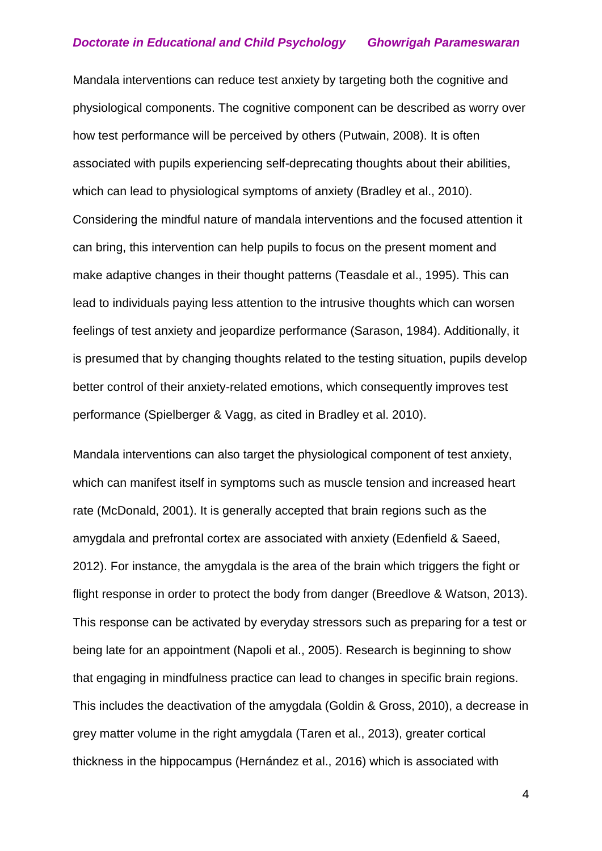Mandala interventions can reduce test anxiety by targeting both the cognitive and physiological components. The cognitive component can be described as worry over how test performance will be perceived by others (Putwain, 2008). It is often associated with pupils experiencing self-deprecating thoughts about their abilities, which can lead to physiological symptoms of anxiety (Bradley et al., 2010). Considering the mindful nature of mandala interventions and the focused attention it can bring, this intervention can help pupils to focus on the present moment and make adaptive changes in their thought patterns (Teasdale et al., 1995). This can lead to individuals paying less attention to the intrusive thoughts which can worsen feelings of test anxiety and jeopardize performance (Sarason, 1984). Additionally, it is presumed that by changing thoughts related to the testing situation, pupils develop better control of their anxiety-related emotions, which consequently improves test performance (Spielberger & Vagg, as cited in Bradley et al. 2010).

Mandala interventions can also target the physiological component of test anxiety, which can manifest itself in symptoms such as muscle tension and increased heart rate (McDonald, 2001). It is generally accepted that brain regions such as the amygdala and prefrontal cortex are associated with anxiety (Edenfield & Saeed, 2012). For instance, the amygdala is the area of the brain which triggers the fight or flight response in order to protect the body from danger (Breedlove & Watson, 2013). This response can be activated by everyday stressors such as preparing for a test or being late for an appointment (Napoli et al., 2005). Research is beginning to show that engaging in mindfulness practice can lead to changes in specific brain regions. This includes the deactivation of the amygdala (Goldin & Gross, 2010), a decrease in grey matter volume in the right amygdala (Taren et al., 2013), greater cortical thickness in the hippocampus (Hernández et al., 2016) which is associated with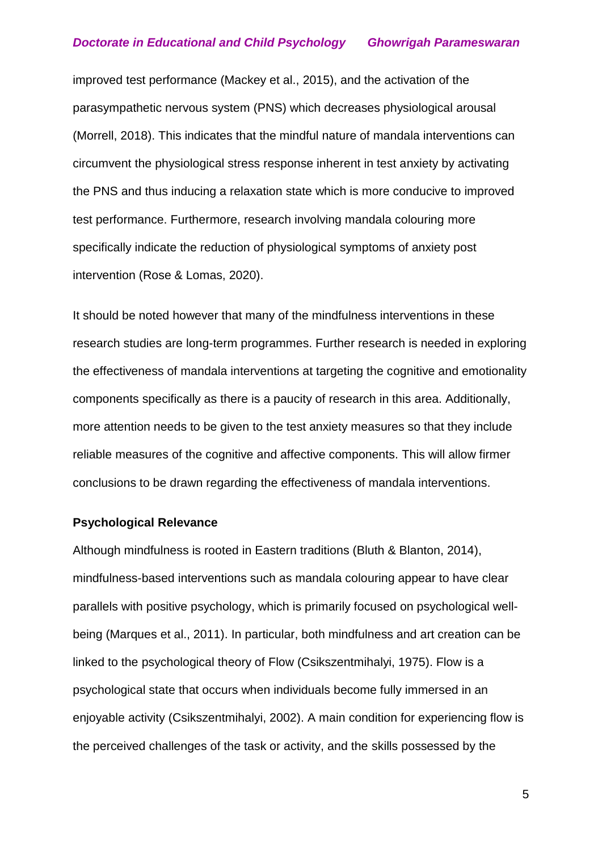improved test performance (Mackey et al., 2015), and the activation of the parasympathetic nervous system (PNS) which decreases physiological arousal (Morrell, 2018). This indicates that the mindful nature of mandala interventions can circumvent the physiological stress response inherent in test anxiety by activating the PNS and thus inducing a relaxation state which is more conducive to improved test performance. Furthermore, research involving mandala colouring more specifically indicate the reduction of physiological symptoms of anxiety post intervention (Rose & Lomas, 2020).

It should be noted however that many of the mindfulness interventions in these research studies are long-term programmes. Further research is needed in exploring the effectiveness of mandala interventions at targeting the cognitive and emotionality components specifically as there is a paucity of research in this area. Additionally, more attention needs to be given to the test anxiety measures so that they include reliable measures of the cognitive and affective components. This will allow firmer conclusions to be drawn regarding the effectiveness of mandala interventions.

#### **Psychological Relevance**

Although mindfulness is rooted in Eastern traditions (Bluth & Blanton, 2014), mindfulness-based interventions such as mandala colouring appear to have clear parallels with positive psychology, which is primarily focused on psychological wellbeing (Marques et al., 2011). In particular, both mindfulness and art creation can be linked to the psychological theory of Flow (Csikszentmihalyi, 1975). Flow is a psychological state that occurs when individuals become fully immersed in an enjoyable activity (Csikszentmihalyi, 2002). A main condition for experiencing flow is the perceived challenges of the task or activity, and the skills possessed by the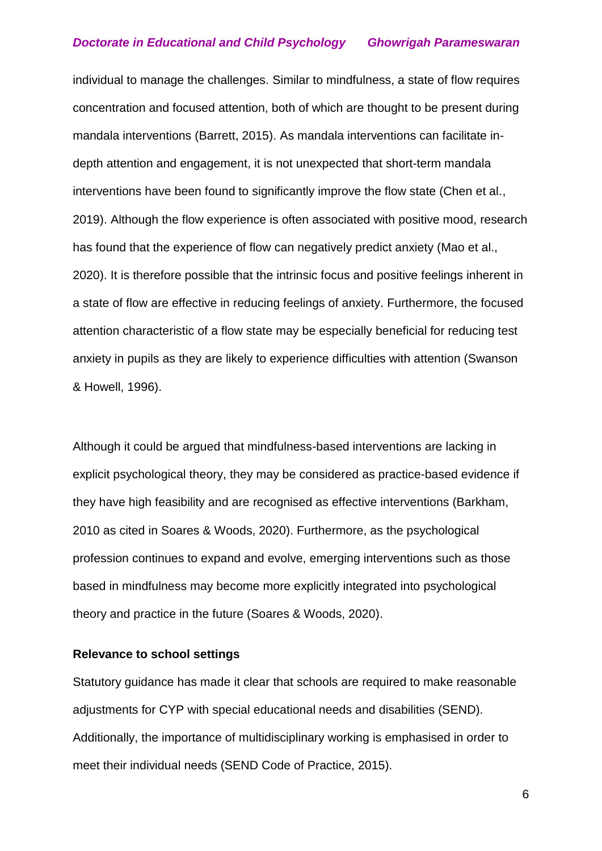individual to manage the challenges. Similar to mindfulness, a state of flow requires concentration and focused attention, both of which are thought to be present during mandala interventions (Barrett, 2015). As mandala interventions can facilitate indepth attention and engagement, it is not unexpected that short-term mandala interventions have been found to significantly improve the flow state (Chen et al., 2019). Although the flow experience is often associated with positive mood, research has found that the experience of flow can negatively predict anxiety (Mao et al., 2020). It is therefore possible that the intrinsic focus and positive feelings inherent in a state of flow are effective in reducing feelings of anxiety. Furthermore, the focused attention characteristic of a flow state may be especially beneficial for reducing test anxiety in pupils as they are likely to experience difficulties with attention (Swanson & Howell, 1996).

Although it could be argued that mindfulness-based interventions are lacking in explicit psychological theory, they may be considered as practice-based evidence if they have high feasibility and are recognised as effective interventions (Barkham, 2010 as cited in Soares & Woods, 2020). Furthermore, as the psychological profession continues to expand and evolve, emerging interventions such as those based in mindfulness may become more explicitly integrated into psychological theory and practice in the future (Soares & Woods, 2020).

#### **Relevance to school settings**

Statutory guidance has made it clear that schools are required to make reasonable adjustments for CYP with special educational needs and disabilities (SEND). Additionally, the importance of multidisciplinary working is emphasised in order to meet their individual needs (SEND Code of Practice, 2015).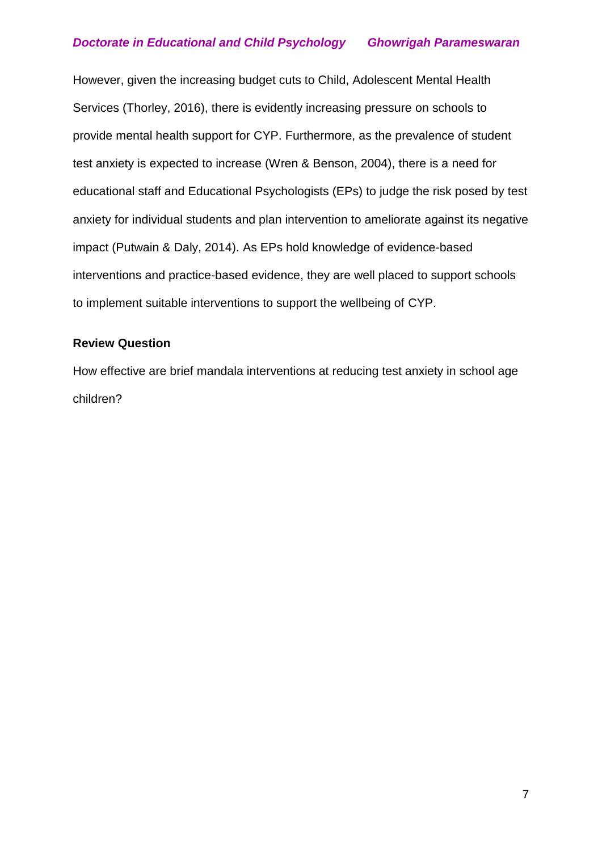However, given the increasing budget cuts to Child, Adolescent Mental Health Services (Thorley, 2016), there is evidently increasing pressure on schools to provide mental health support for CYP. Furthermore, as the prevalence of student test anxiety is expected to increase (Wren & Benson, 2004), there is a need for educational staff and Educational Psychologists (EPs) to judge the risk posed by test anxiety for individual students and plan intervention to ameliorate against its negative impact (Putwain & Daly, 2014). As EPs hold knowledge of evidence-based interventions and practice-based evidence, they are well placed to support schools to implement suitable interventions to support the wellbeing of CYP.

## **Review Question**

How effective are brief mandala interventions at reducing test anxiety in school age children?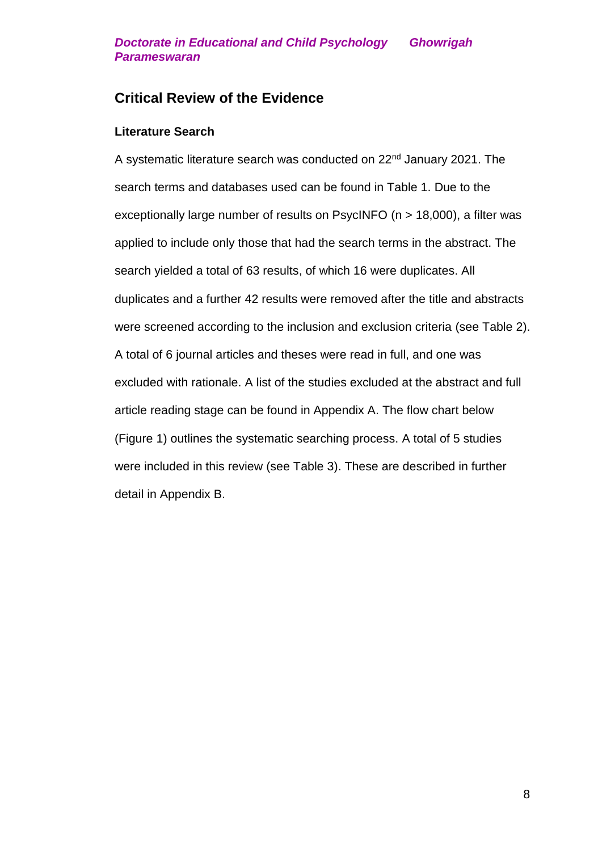# **Critical Review of the Evidence**

#### **Literature Search**

A systematic literature search was conducted on 22<sup>nd</sup> January 2021. The search terms and databases used can be found in Table 1. Due to the exceptionally large number of results on PsycINFO (n > 18,000), a filter was applied to include only those that had the search terms in the abstract. The search yielded a total of 63 results, of which 16 were duplicates. All duplicates and a further 42 results were removed after the title and abstracts were screened according to the inclusion and exclusion criteria (see Table 2). A total of 6 journal articles and theses were read in full, and one was excluded with rationale. A list of the studies excluded at the abstract and full article reading stage can be found in Appendix A. The flow chart below (Figure 1) outlines the systematic searching process. A total of 5 studies were included in this review (see Table 3). These are described in further detail in Appendix B.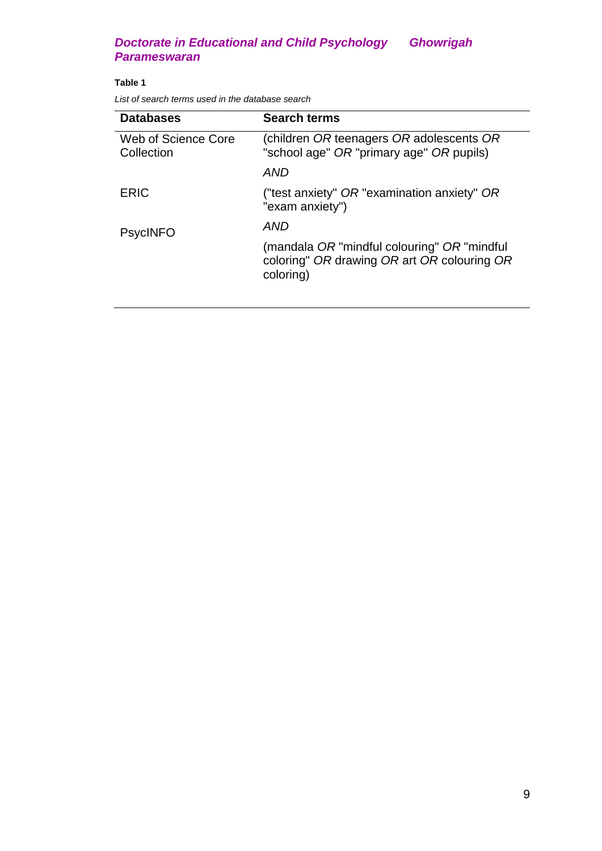#### **Table 1**

*List of search terms used in the database search*

| <b>Databases</b>                  | <b>Search terms</b>                                                                                     |
|-----------------------------------|---------------------------------------------------------------------------------------------------------|
| Web of Science Core<br>Collection | (children OR teenagers OR adolescents OR<br>"school age" OR "primary age" OR pupils)                    |
|                                   | AND                                                                                                     |
| ERIC                              | ("test anxiety" $OR$ "examination anxiety" $OR$<br>"exam anxiety")                                      |
| <b>PsycINFO</b>                   | AND                                                                                                     |
|                                   | (mandala OR "mindful colouring" OR "mindful<br>coloring" OR drawing OR art OR colouring OR<br>coloring) |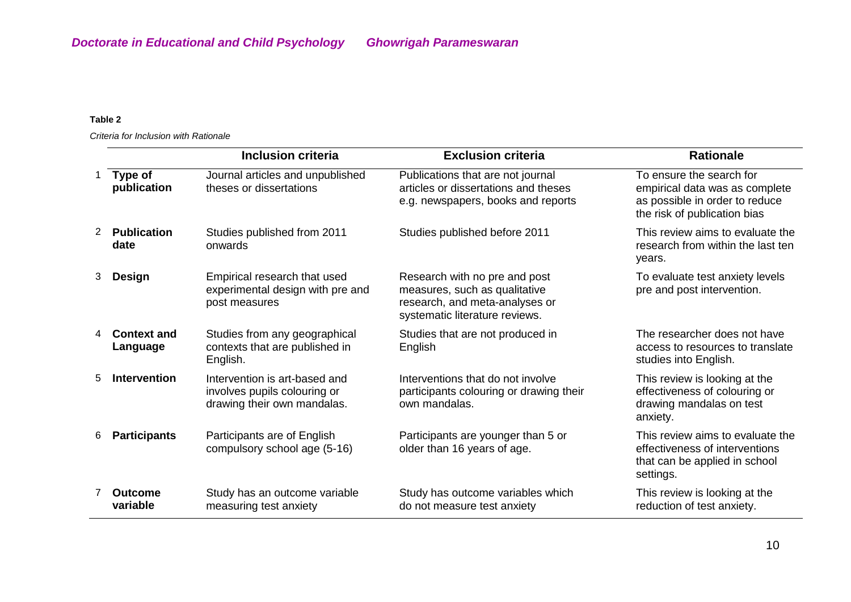#### **Table 2**

*Criteria for Inclusion with Rationale*

|                |                                | <b>Inclusion criteria</b>                                                                    | <b>Exclusion criteria</b>                                                                                                          | <b>Rationale</b>                                                                                                             |
|----------------|--------------------------------|----------------------------------------------------------------------------------------------|------------------------------------------------------------------------------------------------------------------------------------|------------------------------------------------------------------------------------------------------------------------------|
|                | Type of<br>publication         | Journal articles and unpublished<br>theses or dissertations                                  | Publications that are not journal<br>articles or dissertations and theses<br>e.g. newspapers, books and reports                    | To ensure the search for<br>empirical data was as complete<br>as possible in order to reduce<br>the risk of publication bias |
| $\overline{2}$ | <b>Publication</b><br>date     | Studies published from 2011<br>onwards                                                       | Studies published before 2011                                                                                                      | This review aims to evaluate the<br>research from within the last ten<br>years.                                              |
| 3              | Design                         | Empirical research that used<br>experimental design with pre and<br>post measures            | Research with no pre and post<br>measures, such as qualitative<br>research, and meta-analyses or<br>systematic literature reviews. | To evaluate test anxiety levels<br>pre and post intervention.                                                                |
|                | <b>Context and</b><br>Language | Studies from any geographical<br>contexts that are published in<br>English.                  | Studies that are not produced in<br>English                                                                                        | The researcher does not have<br>access to resources to translate<br>studies into English.                                    |
| 5              | <b>Intervention</b>            | Intervention is art-based and<br>involves pupils colouring or<br>drawing their own mandalas. | Interventions that do not involve<br>participants colouring or drawing their<br>own mandalas.                                      | This review is looking at the<br>effectiveness of colouring or<br>drawing mandalas on test<br>anxiety.                       |
| 6              | <b>Participants</b>            | Participants are of English<br>compulsory school age (5-16)                                  | Participants are younger than 5 or<br>older than 16 years of age.                                                                  | This review aims to evaluate the<br>effectiveness of interventions<br>that can be applied in school<br>settings.             |
|                | <b>Outcome</b><br>variable     | Study has an outcome variable<br>measuring test anxiety                                      | Study has outcome variables which<br>do not measure test anxiety                                                                   | This review is looking at the<br>reduction of test anxiety.                                                                  |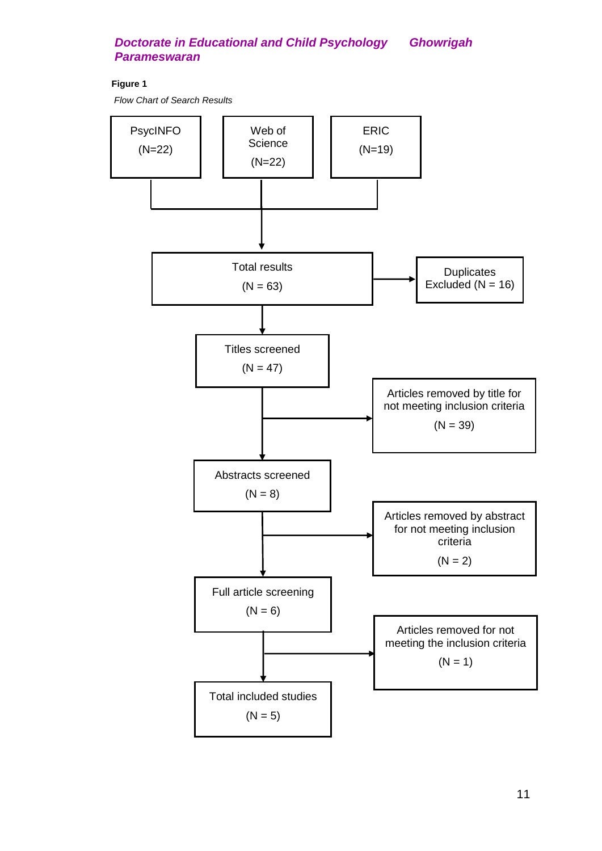#### **Figure 1**

*Flow Chart of Search Results*

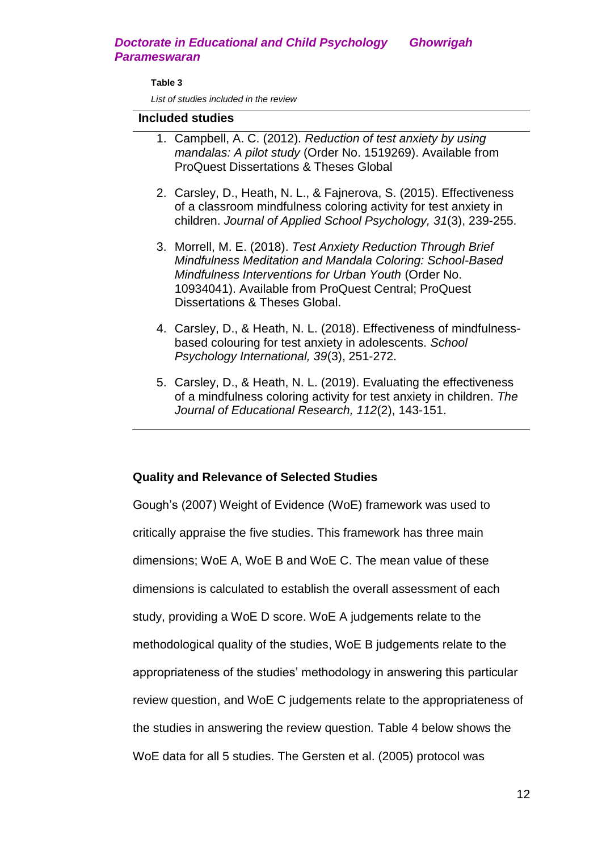#### **Table 3**

*List of studies included in the review*

#### **Included studies**

- 1. Campbell, A. C. (2012). *Reduction of test anxiety by using mandalas: A pilot study* (Order No. 1519269). Available from ProQuest Dissertations & Theses Global
- 2. Carsley, D., Heath, N. L., & Fajnerova, S. (2015). Effectiveness of a classroom mindfulness coloring activity for test anxiety in children. *Journal of Applied School Psychology, 31*(3), 239-255.
- 3. Morrell, M. E. (2018). *Test Anxiety Reduction Through Brief Mindfulness Meditation and Mandala Coloring: School-Based Mindfulness Interventions for Urban Youth* (Order No. 10934041). Available from ProQuest Central; ProQuest Dissertations & Theses Global.
- 4. Carsley, D., & Heath, N. L. (2018). Effectiveness of mindfulnessbased colouring for test anxiety in adolescents. *School Psychology International, 39*(3), 251-272.
- 5. Carsley, D., & Heath, N. L. (2019). Evaluating the effectiveness of a mindfulness coloring activity for test anxiety in children. *The Journal of Educational Research, 112*(2), 143-151.

#### **Quality and Relevance of Selected Studies**

Gough's (2007) Weight of Evidence (WoE) framework was used to critically appraise the five studies. This framework has three main dimensions; WoE A, WoE B and WoE C. The mean value of these dimensions is calculated to establish the overall assessment of each study, providing a WoE D score. WoE A judgements relate to the methodological quality of the studies, WoE B judgements relate to the appropriateness of the studies' methodology in answering this particular review question, and WoE C judgements relate to the appropriateness of the studies in answering the review question*.* Table 4 below shows the WoE data for all 5 studies. The Gersten et al. (2005) protocol was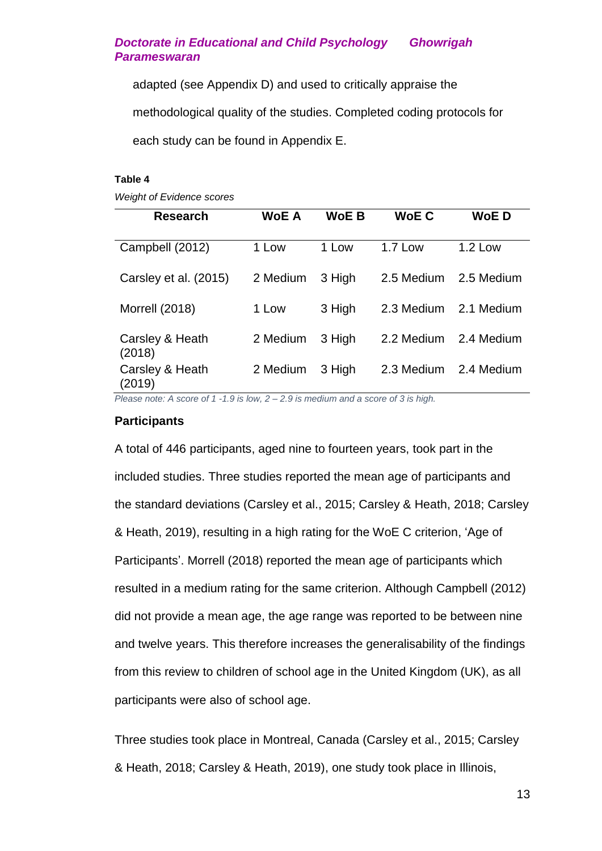adapted (see Appendix D) and used to critically appraise the

methodological quality of the studies. Completed coding protocols for

each study can be found in Appendix E.

#### **Table 4**

*Weight of Evidence scores*

| <b>Research</b>           | <b>WoE A</b> | <b>WoE B</b> | <b>WoE C</b>   | <b>WoED</b> |
|---------------------------|--------------|--------------|----------------|-------------|
| Campbell (2012)           | 1 Low        | 1 Low        | <b>1.7 Low</b> | 1.2 Low     |
| Carsley et al. (2015)     | 2 Medium     | 3 High       | 2.5 Medium     | 2.5 Medium  |
| <b>Morrell (2018)</b>     | 1 Low        | 3 High       | 2.3 Medium     | 2.1 Medium  |
| Carsley & Heath<br>(2018) | 2 Medium     | 3 High       | 2.2 Medium     | 2.4 Medium  |
| Carsley & Heath<br>(2019) | 2 Medium     | 3 High       | 2.3 Medium     | 2.4 Medium  |

*Please note: A score of 1 -1.9 is low, 2 – 2.9 is medium and a score of 3 is high.*

#### **Participants**

A total of 446 participants, aged nine to fourteen years, took part in the included studies. Three studies reported the mean age of participants and the standard deviations (Carsley et al., 2015; Carsley & Heath, 2018; Carsley & Heath, 2019), resulting in a high rating for the WoE C criterion, 'Age of Participants'. Morrell (2018) reported the mean age of participants which resulted in a medium rating for the same criterion. Although Campbell (2012) did not provide a mean age, the age range was reported to be between nine and twelve years. This therefore increases the generalisability of the findings from this review to children of school age in the United Kingdom (UK), as all participants were also of school age.

Three studies took place in Montreal, Canada (Carsley et al., 2015; Carsley & Heath, 2018; Carsley & Heath, 2019), one study took place in Illinois,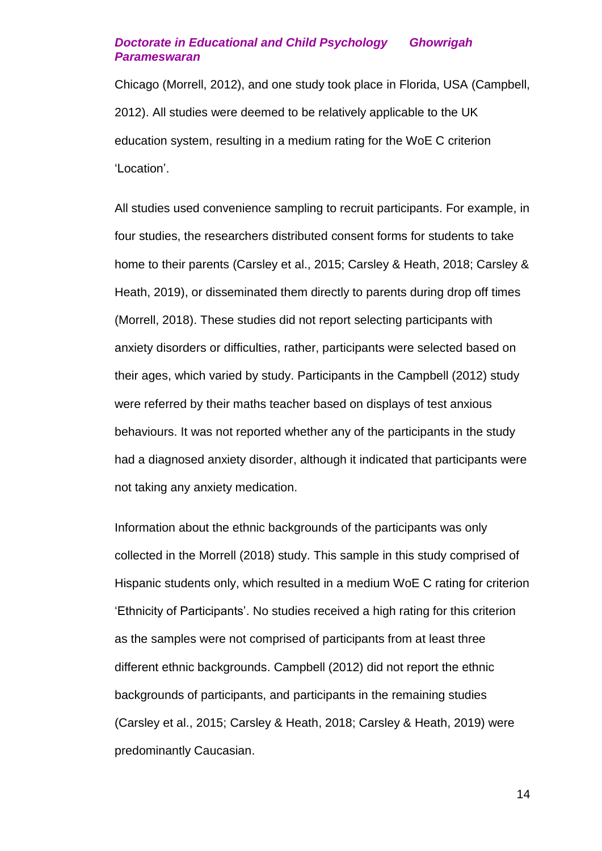Chicago (Morrell, 2012), and one study took place in Florida, USA (Campbell, 2012). All studies were deemed to be relatively applicable to the UK education system, resulting in a medium rating for the WoE C criterion 'Location'.

All studies used convenience sampling to recruit participants. For example, in four studies, the researchers distributed consent forms for students to take home to their parents (Carsley et al., 2015; Carsley & Heath, 2018; Carsley & Heath, 2019), or disseminated them directly to parents during drop off times (Morrell, 2018). These studies did not report selecting participants with anxiety disorders or difficulties, rather, participants were selected based on their ages, which varied by study. Participants in the Campbell (2012) study were referred by their maths teacher based on displays of test anxious behaviours. It was not reported whether any of the participants in the study had a diagnosed anxiety disorder, although it indicated that participants were not taking any anxiety medication.

Information about the ethnic backgrounds of the participants was only collected in the Morrell (2018) study. This sample in this study comprised of Hispanic students only, which resulted in a medium WoE C rating for criterion 'Ethnicity of Participants'. No studies received a high rating for this criterion as the samples were not comprised of participants from at least three different ethnic backgrounds. Campbell (2012) did not report the ethnic backgrounds of participants, and participants in the remaining studies (Carsley et al., 2015; Carsley & Heath, 2018; Carsley & Heath, 2019) were predominantly Caucasian.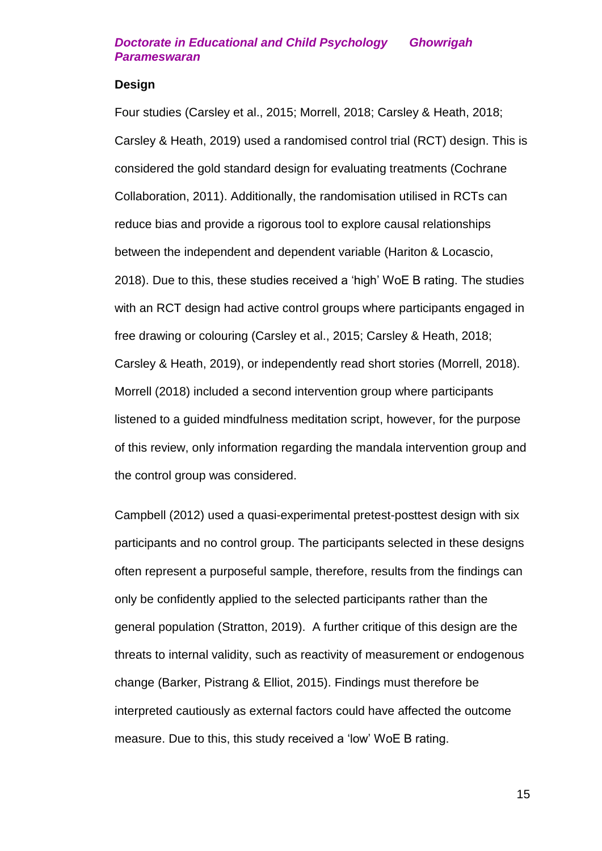#### **Design**

Four studies (Carsley et al., 2015; Morrell, 2018; Carsley & Heath, 2018; Carsley & Heath, 2019) used a randomised control trial (RCT) design. This is considered the gold standard design for evaluating treatments (Cochrane Collaboration, 2011). Additionally, the randomisation utilised in RCTs can reduce bias and provide a rigorous tool to explore causal relationships between the independent and dependent variable (Hariton & Locascio, 2018). Due to this, these studies received a 'high' WoE B rating. The studies with an RCT design had active control groups where participants engaged in free drawing or colouring (Carsley et al., 2015; Carsley & Heath, 2018; Carsley & Heath, 2019), or independently read short stories (Morrell, 2018). Morrell (2018) included a second intervention group where participants listened to a guided mindfulness meditation script, however, for the purpose of this review, only information regarding the mandala intervention group and the control group was considered.

Campbell (2012) used a quasi-experimental pretest-posttest design with six participants and no control group. The participants selected in these designs often represent a purposeful sample, therefore, results from the findings can only be confidently applied to the selected participants rather than the general population (Stratton, 2019). A further critique of this design are the threats to internal validity, such as reactivity of measurement or endogenous change (Barker, Pistrang & Elliot, 2015). Findings must therefore be interpreted cautiously as external factors could have affected the outcome measure. Due to this, this study received a 'low' WoE B rating.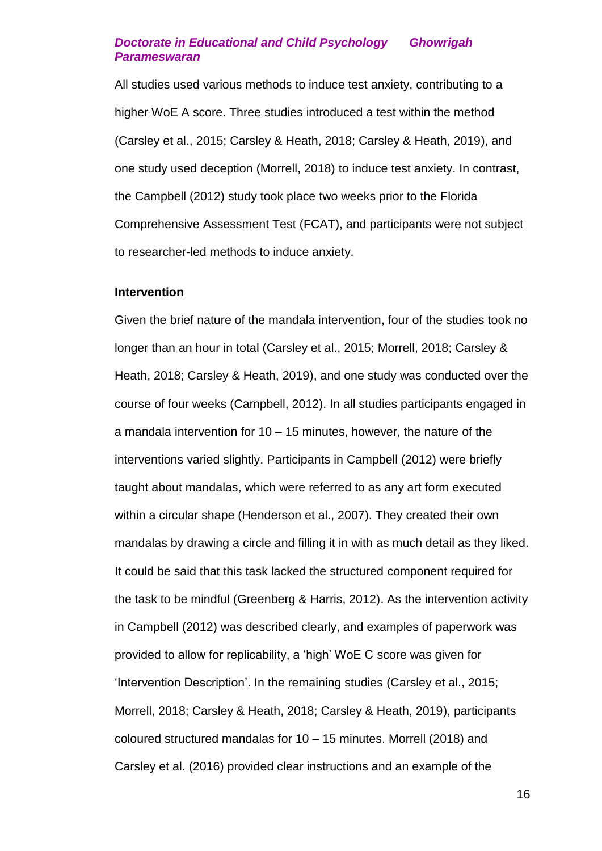All studies used various methods to induce test anxiety, contributing to a higher WoE A score. Three studies introduced a test within the method (Carsley et al., 2015; Carsley & Heath, 2018; Carsley & Heath, 2019), and one study used deception (Morrell, 2018) to induce test anxiety. In contrast, the Campbell (2012) study took place two weeks prior to the Florida Comprehensive Assessment Test (FCAT), and participants were not subject to researcher-led methods to induce anxiety.

#### **Intervention**

Given the brief nature of the mandala intervention, four of the studies took no longer than an hour in total (Carsley et al., 2015; Morrell, 2018; Carsley & Heath, 2018; Carsley & Heath, 2019), and one study was conducted over the course of four weeks (Campbell, 2012). In all studies participants engaged in a mandala intervention for  $10 - 15$  minutes, however, the nature of the interventions varied slightly. Participants in Campbell (2012) were briefly taught about mandalas, which were referred to as any art form executed within a circular shape (Henderson et al., 2007). They created their own mandalas by drawing a circle and filling it in with as much detail as they liked. It could be said that this task lacked the structured component required for the task to be mindful (Greenberg & Harris, 2012). As the intervention activity in Campbell (2012) was described clearly, and examples of paperwork was provided to allow for replicability, a 'high' WoE C score was given for 'Intervention Description'. In the remaining studies (Carsley et al., 2015; Morrell, 2018; Carsley & Heath, 2018; Carsley & Heath, 2019), participants coloured structured mandalas for 10 – 15 minutes. Morrell (2018) and Carsley et al. (2016) provided clear instructions and an example of the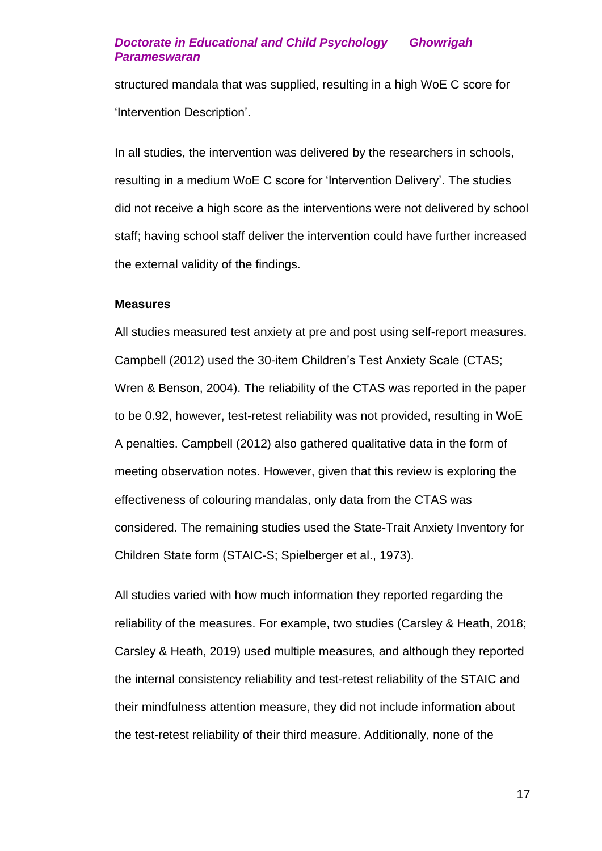structured mandala that was supplied, resulting in a high WoE C score for 'Intervention Description'.

In all studies, the intervention was delivered by the researchers in schools, resulting in a medium WoE C score for 'Intervention Delivery'. The studies did not receive a high score as the interventions were not delivered by school staff; having school staff deliver the intervention could have further increased the external validity of the findings.

#### **Measures**

All studies measured test anxiety at pre and post using self-report measures. Campbell (2012) used the 30-item Children's Test Anxiety Scale (CTAS; Wren & Benson, 2004). The reliability of the CTAS was reported in the paper to be 0.92, however, test-retest reliability was not provided, resulting in WoE A penalties. Campbell (2012) also gathered qualitative data in the form of meeting observation notes. However, given that this review is exploring the effectiveness of colouring mandalas, only data from the CTAS was considered. The remaining studies used the State-Trait Anxiety Inventory for Children State form (STAIC-S; Spielberger et al., 1973).

All studies varied with how much information they reported regarding the reliability of the measures. For example, two studies (Carsley & Heath, 2018; Carsley & Heath, 2019) used multiple measures, and although they reported the internal consistency reliability and test-retest reliability of the STAIC and their mindfulness attention measure, they did not include information about the test-retest reliability of their third measure. Additionally, none of the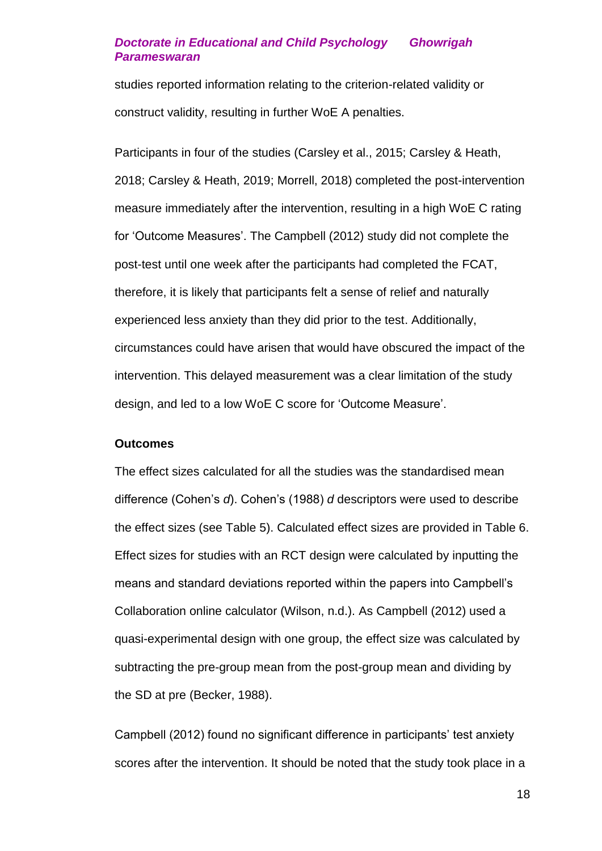studies reported information relating to the criterion-related validity or construct validity, resulting in further WoE A penalties.

Participants in four of the studies (Carsley et al., 2015; Carsley & Heath, 2018; Carsley & Heath, 2019; Morrell, 2018) completed the post-intervention measure immediately after the intervention, resulting in a high WoE C rating for 'Outcome Measures'. The Campbell (2012) study did not complete the post-test until one week after the participants had completed the FCAT, therefore, it is likely that participants felt a sense of relief and naturally experienced less anxiety than they did prior to the test. Additionally, circumstances could have arisen that would have obscured the impact of the intervention. This delayed measurement was a clear limitation of the study design, and led to a low WoE C score for 'Outcome Measure'.

#### **Outcomes**

The effect sizes calculated for all the studies was the standardised mean difference (Cohen's *d*). Cohen's (1988) *d* descriptors were used to describe the effect sizes (see Table 5). Calculated effect sizes are provided in Table 6. Effect sizes for studies with an RCT design were calculated by inputting the means and standard deviations reported within the papers into Campbell's Collaboration online calculator (Wilson, n.d.). As Campbell (2012) used a quasi-experimental design with one group, the effect size was calculated by subtracting the pre-group mean from the post-group mean and dividing by the SD at pre (Becker, 1988).

Campbell (2012) found no significant difference in participants' test anxiety scores after the intervention. It should be noted that the study took place in a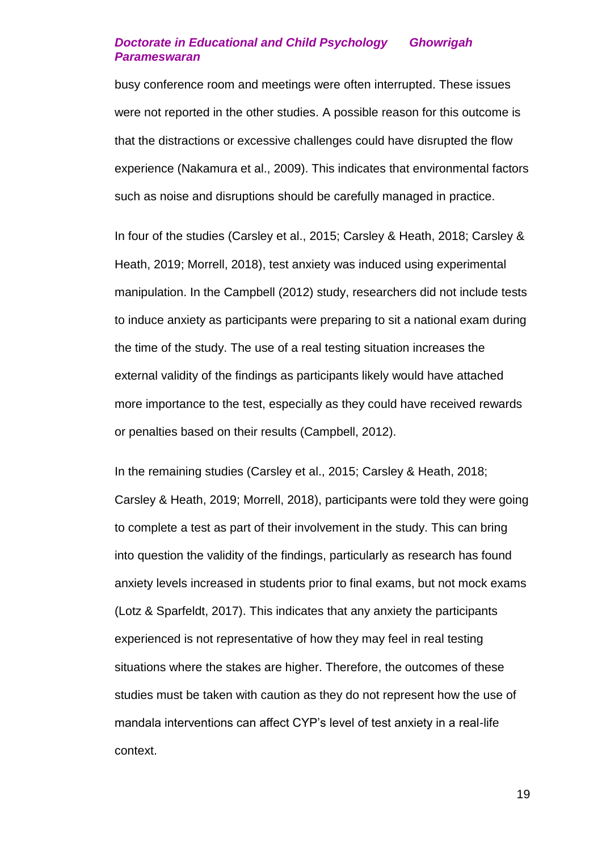busy conference room and meetings were often interrupted. These issues were not reported in the other studies. A possible reason for this outcome is that the distractions or excessive challenges could have disrupted the flow experience (Nakamura et al., 2009). This indicates that environmental factors such as noise and disruptions should be carefully managed in practice.

In four of the studies (Carsley et al., 2015; Carsley & Heath, 2018; Carsley & Heath, 2019; Morrell, 2018), test anxiety was induced using experimental manipulation. In the Campbell (2012) study, researchers did not include tests to induce anxiety as participants were preparing to sit a national exam during the time of the study. The use of a real testing situation increases the external validity of the findings as participants likely would have attached more importance to the test, especially as they could have received rewards or penalties based on their results (Campbell, 2012).

In the remaining studies (Carsley et al., 2015; Carsley & Heath, 2018; Carsley & Heath, 2019; Morrell, 2018), participants were told they were going to complete a test as part of their involvement in the study. This can bring into question the validity of the findings, particularly as research has found anxiety levels increased in students prior to final exams, but not mock exams (Lotz & Sparfeldt, 2017). This indicates that any anxiety the participants experienced is not representative of how they may feel in real testing situations where the stakes are higher. Therefore, the outcomes of these studies must be taken with caution as they do not represent how the use of mandala interventions can affect CYP's level of test anxiety in a real-life context.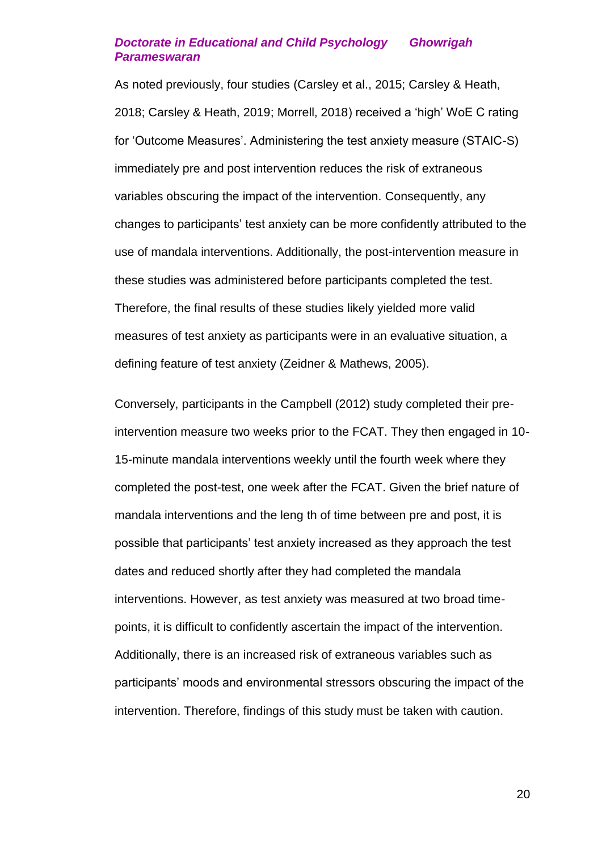As noted previously, four studies (Carsley et al., 2015; Carsley & Heath, 2018; Carsley & Heath, 2019; Morrell, 2018) received a 'high' WoE C rating for 'Outcome Measures'. Administering the test anxiety measure (STAIC-S) immediately pre and post intervention reduces the risk of extraneous variables obscuring the impact of the intervention. Consequently, any changes to participants' test anxiety can be more confidently attributed to the use of mandala interventions. Additionally, the post-intervention measure in these studies was administered before participants completed the test. Therefore, the final results of these studies likely yielded more valid measures of test anxiety as participants were in an evaluative situation, a defining feature of test anxiety (Zeidner & Mathews, 2005).

Conversely, participants in the Campbell (2012) study completed their preintervention measure two weeks prior to the FCAT. They then engaged in 10- 15-minute mandala interventions weekly until the fourth week where they completed the post-test, one week after the FCAT. Given the brief nature of mandala interventions and the leng th of time between pre and post, it is possible that participants' test anxiety increased as they approach the test dates and reduced shortly after they had completed the mandala interventions. However, as test anxiety was measured at two broad timepoints, it is difficult to confidently ascertain the impact of the intervention. Additionally, there is an increased risk of extraneous variables such as participants' moods and environmental stressors obscuring the impact of the intervention. Therefore, findings of this study must be taken with caution.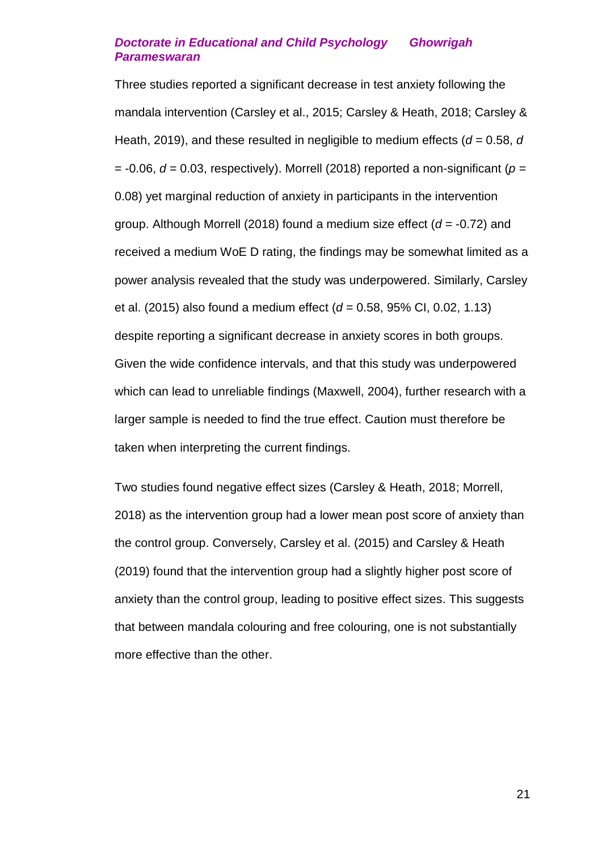Three studies reported a significant decrease in test anxiety following the mandala intervention (Carsley et al., 2015; Carsley & Heath, 2018; Carsley & Heath, 2019), and these resulted in negligible to medium effects (*d* = 0.58, *d*   $= -0.06$ ,  $d = 0.03$ , respectively). Morrell (2018) reported a non-significant ( $p =$ 0.08) yet marginal reduction of anxiety in participants in the intervention group. Although Morrell (2018) found a medium size effect (*d* = -0.72) and received a medium WoE D rating, the findings may be somewhat limited as a power analysis revealed that the study was underpowered. Similarly, Carsley et al. (2015) also found a medium effect (*d* = 0.58, 95% CI, 0.02, 1.13) despite reporting a significant decrease in anxiety scores in both groups. Given the wide confidence intervals, and that this study was underpowered which can lead to unreliable findings (Maxwell, 2004), further research with a larger sample is needed to find the true effect. Caution must therefore be taken when interpreting the current findings.

Two studies found negative effect sizes (Carsley & Heath, 2018; Morrell, 2018) as the intervention group had a lower mean post score of anxiety than the control group. Conversely, Carsley et al. (2015) and Carsley & Heath (2019) found that the intervention group had a slightly higher post score of anxiety than the control group, leading to positive effect sizes. This suggests that between mandala colouring and free colouring, one is not substantially more effective than the other.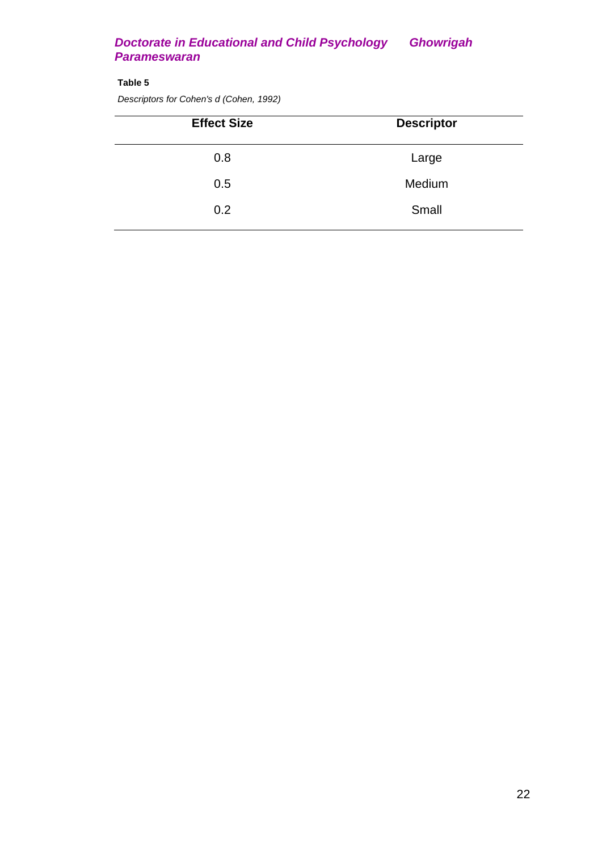#### **Table 5**

*Descriptors for Cohen's d (Cohen, 1992)*

| <b>Effect Size</b> | <b>Descriptor</b> |
|--------------------|-------------------|
| 0.8                | Large             |
| 0.5                | Medium            |
| 0.2                | Small             |
|                    |                   |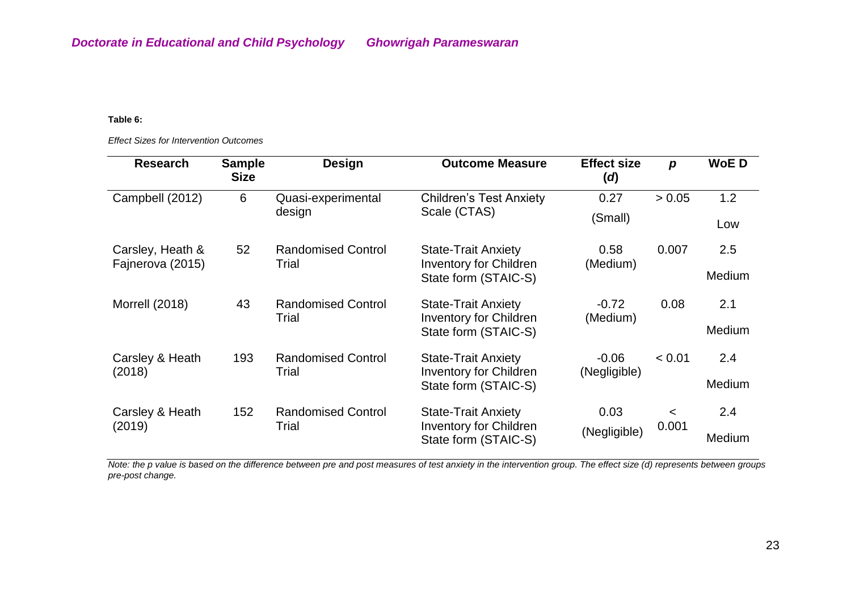#### **Table 6:**

*Effect Sizes for Intervention Outcomes*

| <b>Research</b>       | <b>Sample</b><br><b>Size</b> | <b>Design</b>                | <b>Outcome Measure</b>                                | <b>Effect size</b><br>(d) | $\boldsymbol{p}$ | <b>WoED</b> |
|-----------------------|------------------------------|------------------------------|-------------------------------------------------------|---------------------------|------------------|-------------|
| Campbell (2012)       | 6                            | Quasi-experimental<br>design | <b>Children's Test Anxiety</b><br>Scale (CTAS)        | 0.27<br>(Small)           | > 0.05           | 1.2         |
|                       |                              |                              |                                                       |                           |                  | Low         |
| Carsley, Heath &      | 52                           | <b>Randomised Control</b>    | <b>State-Trait Anxiety</b>                            | 0.58                      | 0.007            | 2.5         |
| Fajnerova (2015)      |                              | Trial                        | <b>Inventory for Children</b><br>State form (STAIC-S) | (Medium)                  |                  | Medium      |
| <b>Morrell (2018)</b> | 43                           | <b>Randomised Control</b>    | <b>State-Trait Anxiety</b>                            | $-0.72$                   | 0.08             | 2.1         |
|                       |                              | Trial                        | <b>Inventory for Children</b><br>State form (STAIC-S) | (Medium)                  |                  | Medium      |
| Carsley & Heath       | 193                          | <b>Randomised Control</b>    | <b>State-Trait Anxiety</b>                            | $-0.06$                   | < 0.01           | 2.4         |
| (2018)                |                              | Trial                        | <b>Inventory for Children</b><br>State form (STAIC-S) | (Negligible)              |                  | Medium      |
| Carsley & Heath       | 152                          | <b>Randomised Control</b>    | <b>State-Trait Anxiety</b>                            | 0.03                      | $\lt$            | 2.4         |
| (2019)                |                              | Trial                        | <b>Inventory for Children</b><br>State form (STAIC-S) | (Negligible)              | 0.001            | Medium      |

*Note: the p value is based on the difference between pre and post measures of test anxiety in the intervention group. The effect size (d) represents between groups pre-post change.*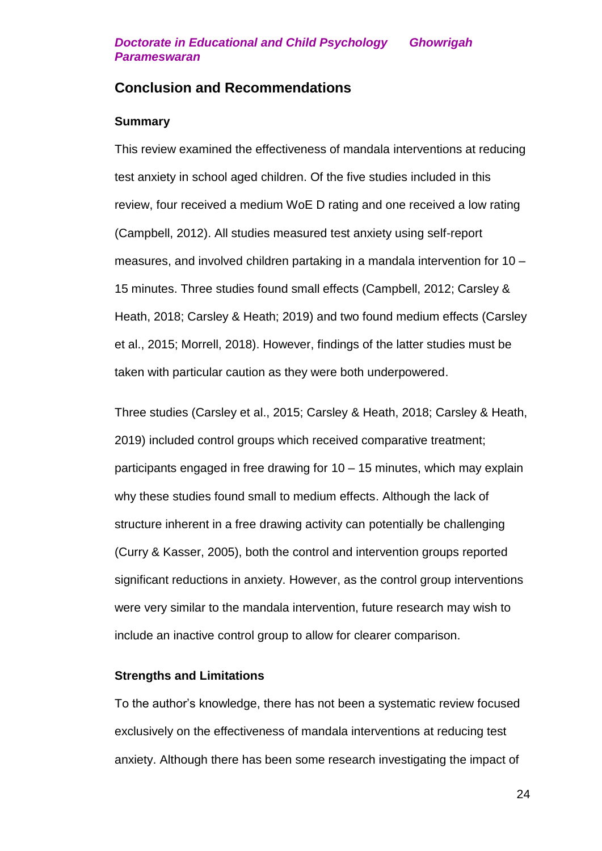# **Conclusion and Recommendations**

## **Summary**

This review examined the effectiveness of mandala interventions at reducing test anxiety in school aged children. Of the five studies included in this review, four received a medium WoE D rating and one received a low rating (Campbell, 2012). All studies measured test anxiety using self-report measures, and involved children partaking in a mandala intervention for 10 – 15 minutes. Three studies found small effects (Campbell, 2012; Carsley & Heath, 2018; Carsley & Heath; 2019) and two found medium effects (Carsley et al., 2015; Morrell, 2018). However, findings of the latter studies must be taken with particular caution as they were both underpowered.

Three studies (Carsley et al., 2015; Carsley & Heath, 2018; Carsley & Heath, 2019) included control groups which received comparative treatment; participants engaged in free drawing for 10 – 15 minutes, which may explain why these studies found small to medium effects. Although the lack of structure inherent in a free drawing activity can potentially be challenging (Curry & Kasser, 2005), both the control and intervention groups reported significant reductions in anxiety. However, as the control group interventions were very similar to the mandala intervention, future research may wish to include an inactive control group to allow for clearer comparison.

# **Strengths and Limitations**

To the author's knowledge, there has not been a systematic review focused exclusively on the effectiveness of mandala interventions at reducing test anxiety. Although there has been some research investigating the impact of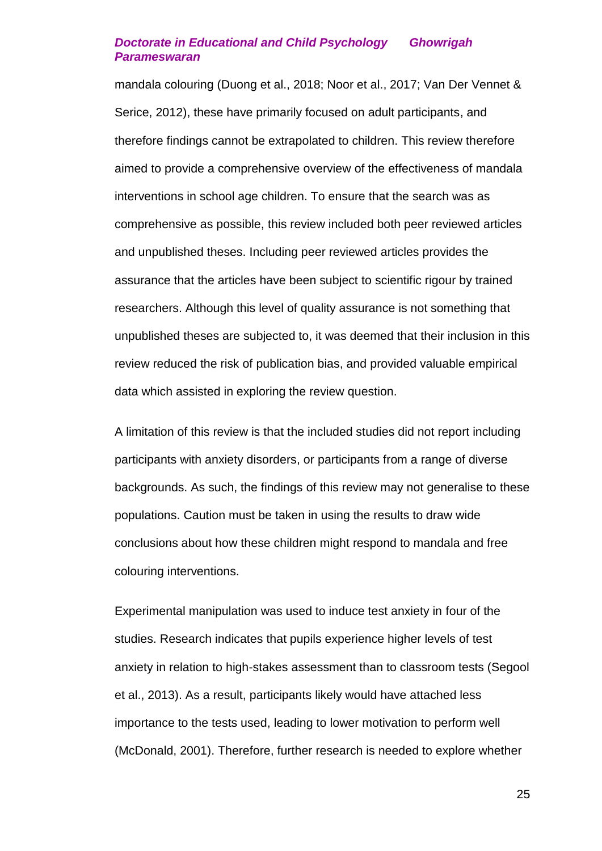mandala colouring (Duong et al., 2018; Noor et al., 2017; Van Der Vennet & Serice, 2012), these have primarily focused on adult participants, and therefore findings cannot be extrapolated to children. This review therefore aimed to provide a comprehensive overview of the effectiveness of mandala interventions in school age children. To ensure that the search was as comprehensive as possible, this review included both peer reviewed articles and unpublished theses. Including peer reviewed articles provides the assurance that the articles have been subject to scientific rigour by trained researchers. Although this level of quality assurance is not something that unpublished theses are subjected to, it was deemed that their inclusion in this review reduced the risk of publication bias, and provided valuable empirical data which assisted in exploring the review question.

A limitation of this review is that the included studies did not report including participants with anxiety disorders, or participants from a range of diverse backgrounds. As such, the findings of this review may not generalise to these populations. Caution must be taken in using the results to draw wide conclusions about how these children might respond to mandala and free colouring interventions.

Experimental manipulation was used to induce test anxiety in four of the studies. Research indicates that pupils experience higher levels of test anxiety in relation to high-stakes assessment than to classroom tests (Segool et al., 2013). As a result, participants likely would have attached less importance to the tests used, leading to lower motivation to perform well (McDonald, 2001). Therefore, further research is needed to explore whether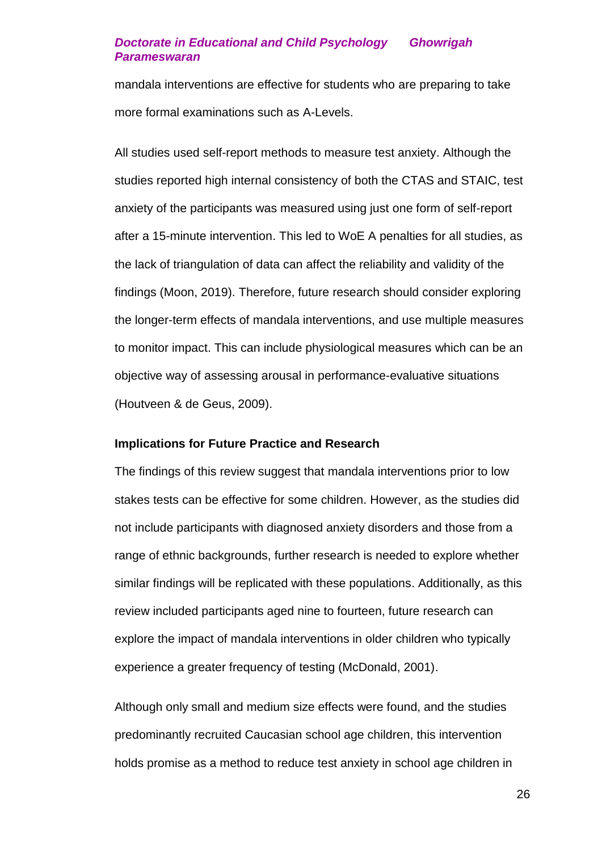mandala interventions are effective for students who are preparing to take more formal examinations such as A-Levels.

All studies used self-report methods to measure test anxiety. Although the studies reported high internal consistency of both the CTAS and STAIC, test anxiety of the participants was measured using just one form of self-report after a 15-minute intervention. This led to WoE A penalties for all studies, as the lack of triangulation of data can affect the reliability and validity of the findings (Moon, 2019). Therefore, future research should consider exploring the longer-term effects of mandala interventions, and use multiple measures to monitor impact. This can include physiological measures which can be an objective way of assessing arousal in performance-evaluative situations (Houtveen & de Geus, 2009).

#### **Implications for Future Practice and Research**

The findings of this review suggest that mandala interventions prior to low stakes tests can be effective for some children. However, as the studies did not include participants with diagnosed anxiety disorders and those from a range of ethnic backgrounds, further research is needed to explore whether similar findings will be replicated with these populations. Additionally, as this review included participants aged nine to fourteen, future research can explore the impact of mandala interventions in older children who typically experience a greater frequency of testing (McDonald, 2001).

Although only small and medium size effects were found, and the studies predominantly recruited Caucasian school age children, this intervention holds promise as a method to reduce test anxiety in school age children in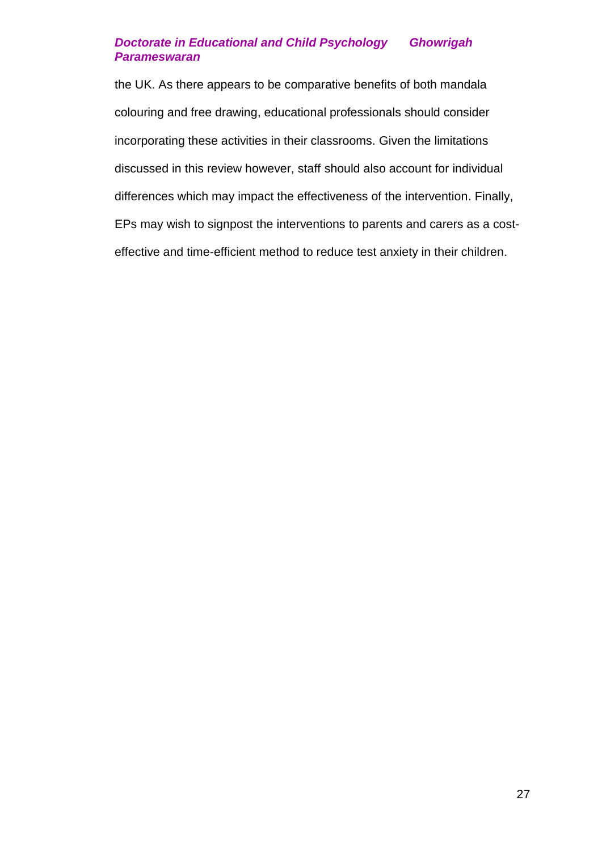the UK. As there appears to be comparative benefits of both mandala colouring and free drawing, educational professionals should consider incorporating these activities in their classrooms. Given the limitations discussed in this review however, staff should also account for individual differences which may impact the effectiveness of the intervention. Finally, EPs may wish to signpost the interventions to parents and carers as a costeffective and time-efficient method to reduce test anxiety in their children.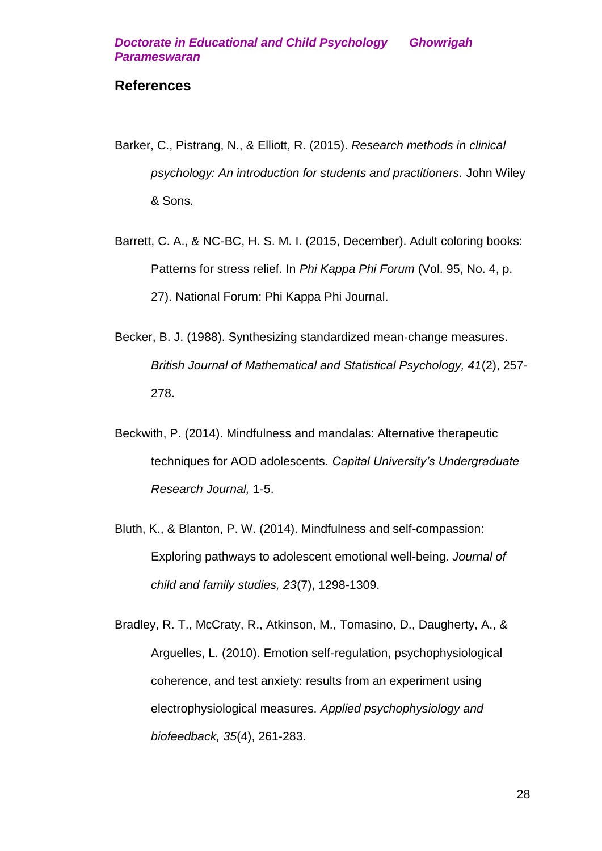# **References**

- Barker, C., Pistrang, N., & Elliott, R. (2015). *Research methods in clinical psychology: An introduction for students and practitioners.* John Wiley & Sons.
- Barrett, C. A., & NC-BC, H. S. M. I. (2015, December). Adult coloring books: Patterns for stress relief. In *Phi Kappa Phi Forum* (Vol. 95, No. 4, p. 27). National Forum: Phi Kappa Phi Journal.
- Becker, B. J. (1988). Synthesizing standardized mean‐change measures. *British Journal of Mathematical and Statistical Psychology, 41*(2), 257- 278.
- Beckwith, P. (2014). Mindfulness and mandalas: Alternative therapeutic techniques for AOD adolescents. *Capital University's Undergraduate Research Journal,* 1-5.
- Bluth, K., & Blanton, P. W. (2014). Mindfulness and self-compassion: Exploring pathways to adolescent emotional well-being. *Journal of child and family studies, 23*(7), 1298-1309.
- Bradley, R. T., McCraty, R., Atkinson, M., Tomasino, D., Daugherty, A., & Arguelles, L. (2010). Emotion self-regulation, psychophysiological coherence, and test anxiety: results from an experiment using electrophysiological measures. *Applied psychophysiology and biofeedback, 35*(4), 261-283.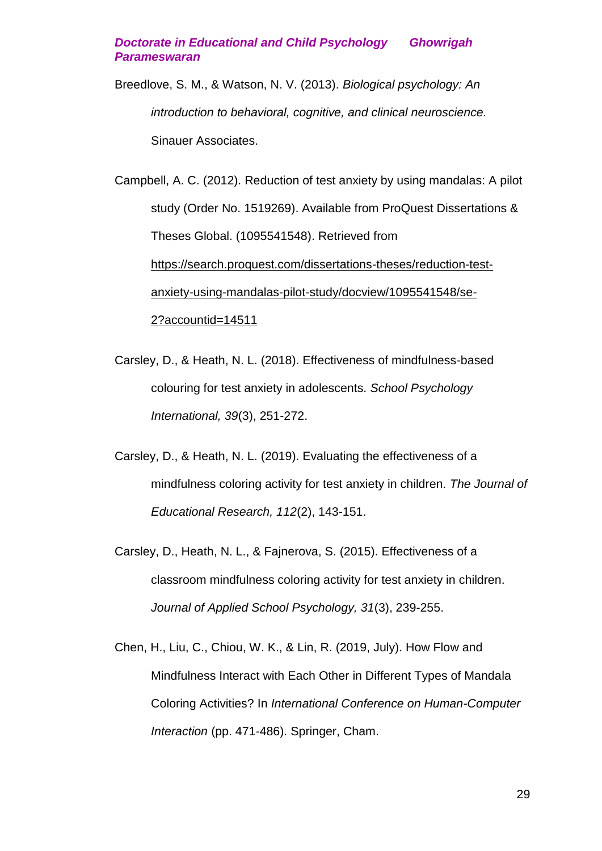Breedlove, S. M., & Watson, N. V. (2013). *Biological psychology: An introduction to behavioral, cognitive, and clinical neuroscience.* Sinauer Associates.

Campbell, A. C. (2012). Reduction of test anxiety by using mandalas: A pilot study (Order No. 1519269). Available from ProQuest Dissertations & Theses Global. (1095541548). Retrieved from [https://search.proquest.com/dissertations-theses/reduction-test](https://search.proquest.com/dissertations-theses/reduction-test-anxiety-using-mandalas-pilot-study/docview/1095541548/se-2?accountid=14511)[anxiety-using-mandalas-pilot-study/docview/1095541548/se-](https://search.proquest.com/dissertations-theses/reduction-test-anxiety-using-mandalas-pilot-study/docview/1095541548/se-2?accountid=14511)[2?accountid=14511](https://search.proquest.com/dissertations-theses/reduction-test-anxiety-using-mandalas-pilot-study/docview/1095541548/se-2?accountid=14511)

Carsley, D., & Heath, N. L. (2018). Effectiveness of mindfulness-based colouring for test anxiety in adolescents. *School Psychology International, 39*(3), 251-272.

- Carsley, D., & Heath, N. L. (2019). Evaluating the effectiveness of a mindfulness coloring activity for test anxiety in children. *The Journal of Educational Research, 112*(2), 143-151.
- Carsley, D., Heath, N. L., & Fajnerova, S. (2015). Effectiveness of a classroom mindfulness coloring activity for test anxiety in children. *Journal of Applied School Psychology, 31*(3), 239-255.

Chen, H., Liu, C., Chiou, W. K., & Lin, R. (2019, July). How Flow and Mindfulness Interact with Each Other in Different Types of Mandala Coloring Activities? In *International Conference on Human-Computer Interaction* (pp. 471-486). Springer, Cham.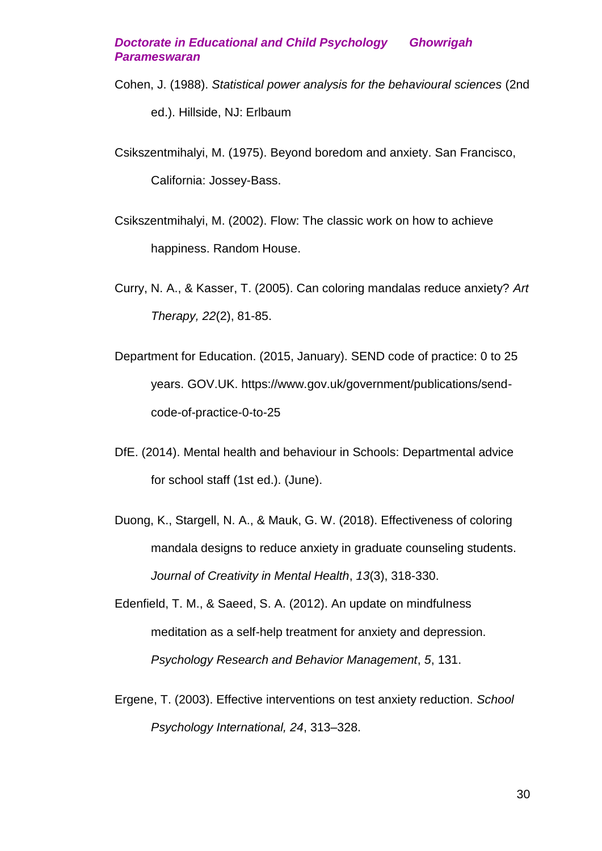- Cohen, J. (1988). *Statistical power analysis for the behavioural sciences* (2nd ed.). Hillside, NJ: Erlbaum
- Csikszentmihalyi, M. (1975). Beyond boredom and anxiety. San Francisco, California: Jossey-Bass.
- Csikszentmihalyi, M. (2002). Flow: The classic work on how to achieve happiness. Random House.
- Curry, N. A., & Kasser, T. (2005). Can coloring mandalas reduce anxiety? *Art Therapy, 22*(2), 81-85.
- Department for Education. (2015, January). SEND code of practice: 0 to 25 years. GOV.UK. https://www.gov.uk/government/publications/sendcode-of-practice-0-to-25
- DfE. (2014). Mental health and behaviour in Schools: Departmental advice for school staff (1st ed.). (June).
- Duong, K., Stargell, N. A., & Mauk, G. W. (2018). Effectiveness of coloring mandala designs to reduce anxiety in graduate counseling students. *Journal of Creativity in Mental Health*, *13*(3), 318-330.
- Edenfield, T. M., & Saeed, S. A. (2012). An update on mindfulness meditation as a self-help treatment for anxiety and depression. *Psychology Research and Behavior Management*, *5*, 131.
- Ergene, T. (2003). Effective interventions on test anxiety reduction. *School Psychology International, 24*, 313–328.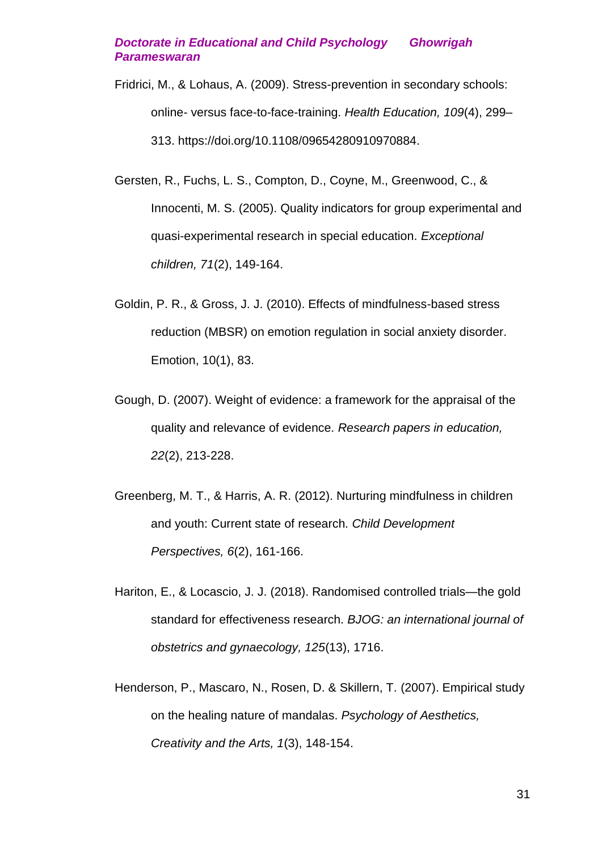- Fridrici, M., & Lohaus, A. (2009). Stress-prevention in secondary schools: online- versus face-to-face-training. *Health Education, 109*(4), 299– 313. https://doi.org/10.1108/09654280910970884.
- Gersten, R., Fuchs, L. S., Compton, D., Coyne, M., Greenwood, C., & Innocenti, M. S. (2005). Quality indicators for group experimental and quasi-experimental research in special education. *Exceptional children, 71*(2), 149-164.
- Goldin, P. R., & Gross, J. J. (2010). Effects of mindfulness-based stress reduction (MBSR) on emotion regulation in social anxiety disorder. Emotion, 10(1), 83.
- Gough, D. (2007). Weight of evidence: a framework for the appraisal of the quality and relevance of evidence. *Research papers in education, 22*(2), 213-228.
- Greenberg, M. T., & Harris, A. R. (2012). Nurturing mindfulness in children and youth: Current state of research. *Child Development Perspectives, 6*(2), 161-166.
- Hariton, E., & Locascio, J. J. (2018). Randomised controlled trials—the gold standard for effectiveness research. *BJOG: an international journal of obstetrics and gynaecology, 125*(13), 1716.
- Henderson, P., Mascaro, N., Rosen, D. & Skillern, T. (2007). Empirical study on the healing nature of mandalas. *Psychology of Aesthetics, Creativity and the Arts, 1*(3), 148-154.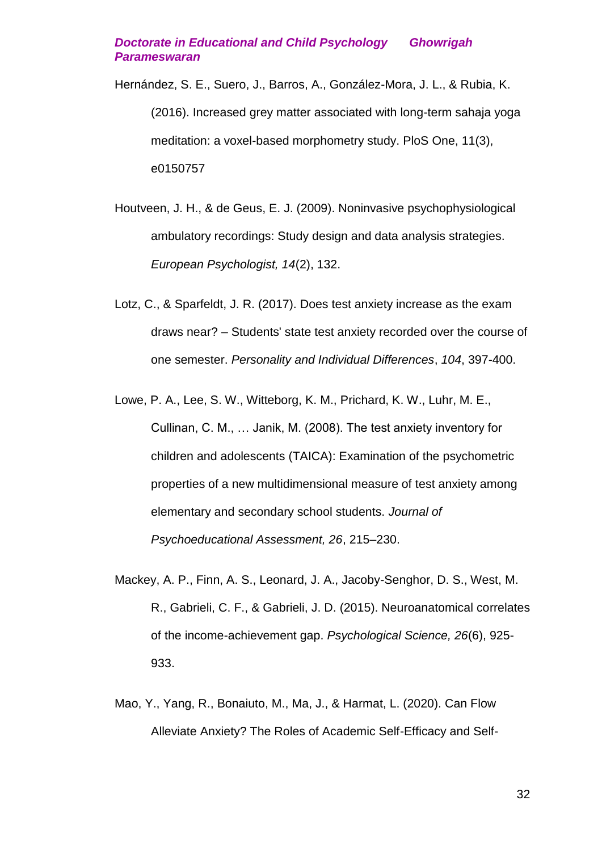Hernández, S. E., Suero, J., Barros, A., González-Mora, J. L., & Rubia, K. (2016). Increased grey matter associated with long-term sahaja yoga meditation: a voxel-based morphometry study. PloS One, 11(3), e0150757

- Houtveen, J. H., & de Geus, E. J. (2009). Noninvasive psychophysiological ambulatory recordings: Study design and data analysis strategies. *European Psychologist, 14*(2), 132.
- Lotz, C., & Sparfeldt, J. R. (2017). Does test anxiety increase as the exam draws near? – Students' state test anxiety recorded over the course of one semester. *Personality and Individual Differences*, *104*, 397-400.
- Lowe, P. A., Lee, S. W., Witteborg, K. M., Prichard, K. W., Luhr, M. E., Cullinan, C. M., … Janik, M. (2008). The test anxiety inventory for children and adolescents (TAICA): Examination of the psychometric properties of a new multidimensional measure of test anxiety among elementary and secondary school students. *Journal of Psychoeducational Assessment, 26*, 215–230.
- Mackey, A. P., Finn, A. S., Leonard, J. A., Jacoby-Senghor, D. S., West, M. R., Gabrieli, C. F., & Gabrieli, J. D. (2015). Neuroanatomical correlates of the income-achievement gap. *Psychological Science, 26*(6), 925- 933.
- Mao, Y., Yang, R., Bonaiuto, M., Ma, J., & Harmat, L. (2020). Can Flow Alleviate Anxiety? The Roles of Academic Self-Efficacy and Self-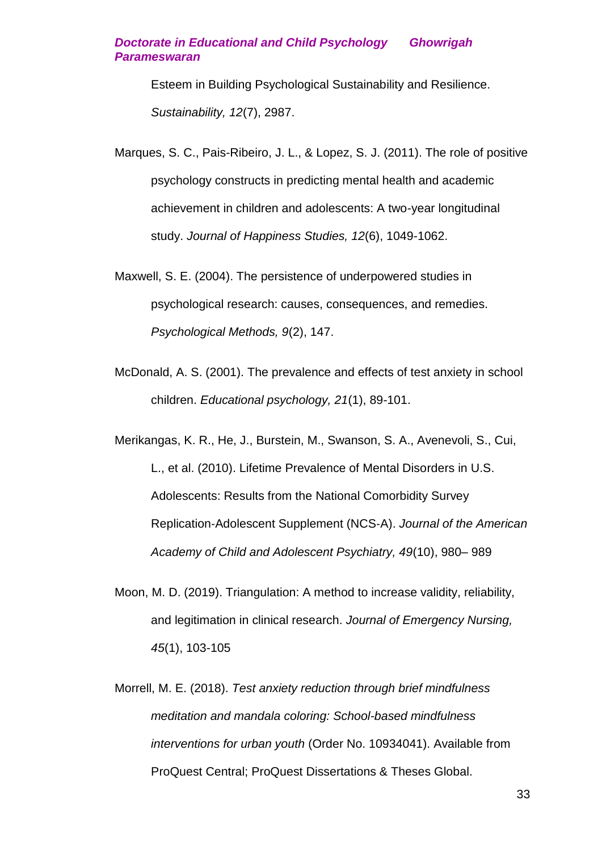Esteem in Building Psychological Sustainability and Resilience. *Sustainability, 12*(7), 2987.

- Marques, S. C., Pais-Ribeiro, J. L., & Lopez, S. J. (2011). The role of positive psychology constructs in predicting mental health and academic achievement in children and adolescents: A two-year longitudinal study. *Journal of Happiness Studies, 12*(6), 1049-1062.
- Maxwell, S. E. (2004). The persistence of underpowered studies in psychological research: causes, consequences, and remedies. *Psychological Methods, 9*(2), 147.
- McDonald, A. S. (2001). The prevalence and effects of test anxiety in school children. *Educational psychology, 21*(1), 89-101.
- Merikangas, K. R., He, J., Burstein, M., Swanson, S. A., Avenevoli, S., Cui, L., et al. (2010). Lifetime Prevalence of Mental Disorders in U.S. Adolescents: Results from the National Comorbidity Survey Replication‐Adolescent Supplement (NCS‐A). *Journal of the American Academy of Child and Adolescent Psychiatry, 49*(10), 980– 989
- Moon, M. D. (2019). Triangulation: A method to increase validity, reliability, and legitimation in clinical research. *Journal of Emergency Nursing, 45*(1), 103-105
- Morrell, M. E. (2018). *Test anxiety reduction through brief mindfulness meditation and mandala coloring: School-based mindfulness interventions for urban youth* (Order No. 10934041). Available from ProQuest Central; ProQuest Dissertations & Theses Global.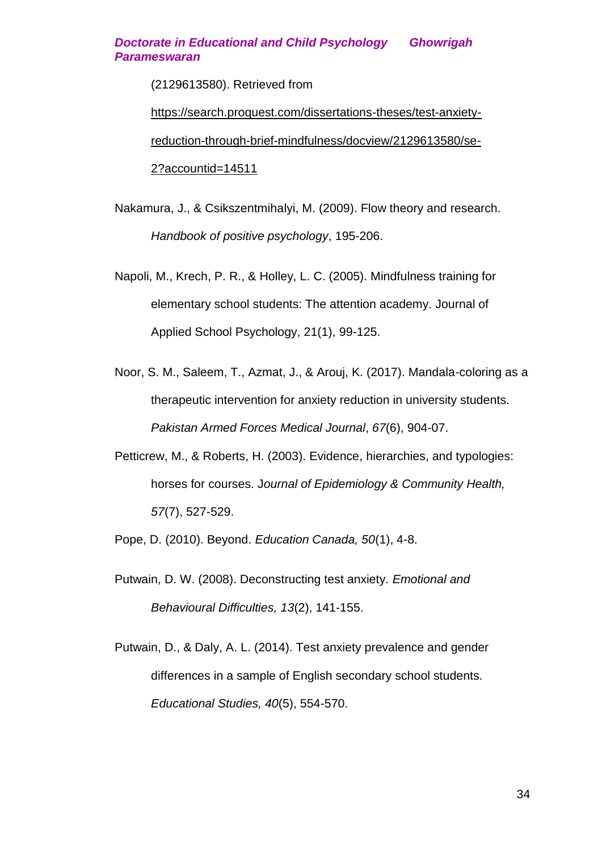(2129613580). Retrieved from

[https://search.proquest.com/dissertations-theses/test-anxiety](https://search.proquest.com/dissertations-theses/test-anxiety-reduction-through-brief-mindfulness/docview/2129613580/se-2?accountid=14511)[reduction-through-brief-mindfulness/docview/2129613580/se-](https://search.proquest.com/dissertations-theses/test-anxiety-reduction-through-brief-mindfulness/docview/2129613580/se-2?accountid=14511)[2?accountid=14511](https://search.proquest.com/dissertations-theses/test-anxiety-reduction-through-brief-mindfulness/docview/2129613580/se-2?accountid=14511)

- Nakamura, J., & Csikszentmihalyi, M. (2009). Flow theory and research. *Handbook of positive psychology*, 195-206.
- Napoli, M., Krech, P. R., & Holley, L. C. (2005). Mindfulness training for elementary school students: The attention academy. Journal of Applied School Psychology, 21(1), 99-125.
- Noor, S. M., Saleem, T., Azmat, J., & Arouj, K. (2017). Mandala-coloring as a therapeutic intervention for anxiety reduction in university students. *Pakistan Armed Forces Medical Journal*, *67*(6), 904-07.
- Petticrew, M., & Roberts, H. (2003). Evidence, hierarchies, and typologies: horses for courses. J*ournal of Epidemiology & Community Health, 57*(7), 527-529.
- Pope, D. (2010). Beyond. *Education Canada, 50*(1), 4-8.
- Putwain, D. W. (2008). Deconstructing test anxiety. *Emotional and Behavioural Difficulties, 13*(2), 141-155.
- Putwain, D., & Daly, A. L. (2014). Test anxiety prevalence and gender differences in a sample of English secondary school students. *Educational Studies, 40*(5), 554-570.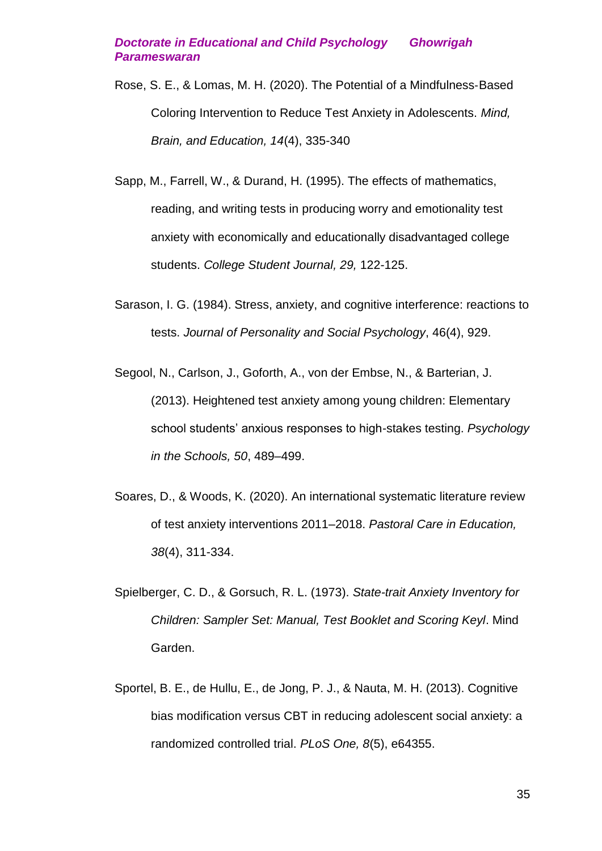- Rose, S. E., & Lomas, M. H. (2020). The Potential of a Mindfulness‐Based Coloring Intervention to Reduce Test Anxiety in Adolescents. *Mind, Brain, and Education, 14*(4), 335-340
- Sapp, M., Farrell, W., & Durand, H. (1995). The effects of mathematics, reading, and writing tests in producing worry and emotionality test anxiety with economically and educationally disadvantaged college students. *College Student Journal, 29,* 122-125.
- Sarason, I. G. (1984). Stress, anxiety, and cognitive interference: reactions to tests. *Journal of Personality and Social Psychology*, 46(4), 929.
- Segool, N., Carlson, J., Goforth, A., von der Embse, N., & Barterian, J. (2013). Heightened test anxiety among young children: Elementary school students' anxious responses to high-stakes testing. *Psychology in the Schools, 50*, 489–499.
- Soares, D., & Woods, K. (2020). An international systematic literature review of test anxiety interventions 2011–2018. *Pastoral Care in Education, 38*(4), 311-334.
- Spielberger, C. D., & Gorsuch, R. L. (1973). *State-trait Anxiety Inventory for Children: Sampler Set: Manual, Test Booklet and Scoring Keyl*. Mind Garden.
- Sportel, B. E., de Hullu, E., de Jong, P. J., & Nauta, M. H. (2013). Cognitive bias modification versus CBT in reducing adolescent social anxiety: a randomized controlled trial. *PLoS One, 8*(5), e64355.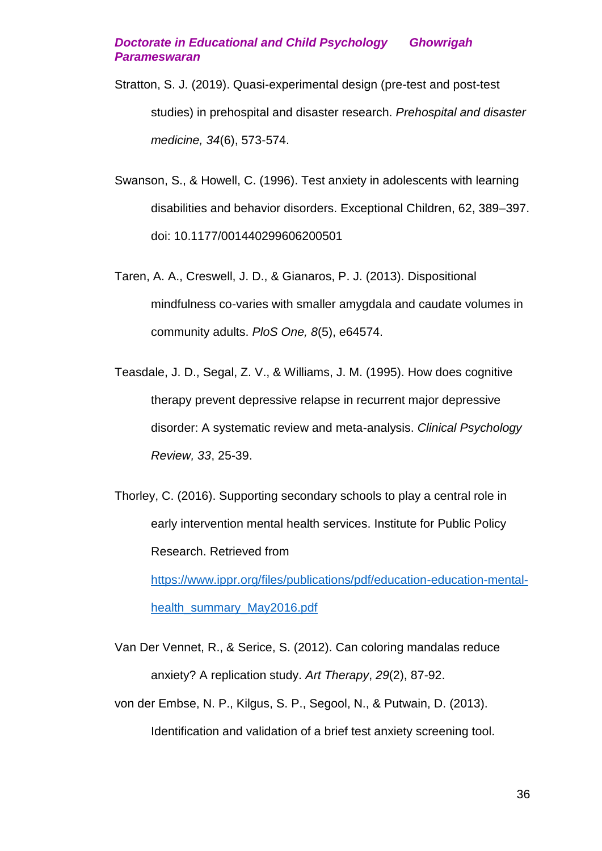- Stratton, S. J. (2019). Quasi-experimental design (pre-test and post-test studies) in prehospital and disaster research. *Prehospital and disaster medicine, 34*(6), 573-574.
- Swanson, S., & Howell, C. (1996). Test anxiety in adolescents with learning disabilities and behavior disorders. Exceptional Children, 62, 389–397. doi: 10.1177/001440299606200501
- Taren, A. A., Creswell, J. D., & Gianaros, P. J. (2013). Dispositional mindfulness co-varies with smaller amygdala and caudate volumes in community adults. *PloS One, 8*(5), e64574.
- Teasdale, J. D., Segal, Z. V., & Williams, J. M. (1995). How does cognitive therapy prevent depressive relapse in recurrent major depressive disorder: A systematic review and meta-analysis. *Clinical Psychology Review, 33*, 25-39.
- Thorley, C. (2016). Supporting secondary schools to play a central role in early intervention mental health services. Institute for Public Policy Research. Retrieved from [https://www.ippr.org/files/publications/pdf/education-education-mental](https://www.ippr.org/files/publications/pdf/education-education-mental-health_summary_May2016.pdf)[health\\_summary\\_May2016.pdf](https://www.ippr.org/files/publications/pdf/education-education-mental-health_summary_May2016.pdf)

Van Der Vennet, R., & Serice, S. (2012). Can coloring mandalas reduce anxiety? A replication study. *Art Therapy*, *29*(2), 87-92.

von der Embse, N. P., Kilgus, S. P., Segool, N., & Putwain, D. (2013). Identification and validation of a brief test anxiety screening tool.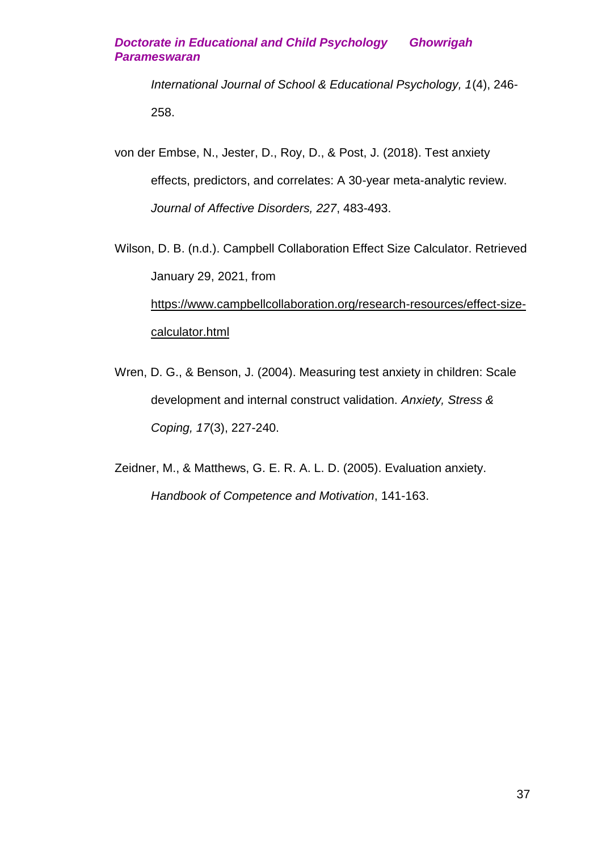*International Journal of School & Educational Psychology, 1*(4), 246- 258.

von der Embse, N., Jester, D., Roy, D., & Post, J. (2018). Test anxiety effects, predictors, and correlates: A 30-year meta-analytic review. *Journal of Affective Disorders, 227*, 483-493.

Wilson, D. B. (n.d.). Campbell Collaboration Effect Size Calculator. Retrieved January 29, 2021, from [https://www.campbellcollaboration.org/research-resources/effect-size](https://www.campbellcollaboration.org/research-resources/effect-size-calculator.html)[calculator.html](https://www.campbellcollaboration.org/research-resources/effect-size-calculator.html)

Wren, D. G., & Benson, J. (2004). Measuring test anxiety in children: Scale development and internal construct validation. *Anxiety, Stress & Coping, 17*(3), 227-240.

Zeidner, M., & Matthews, G. E. R. A. L. D. (2005). Evaluation anxiety. *Handbook of Competence and Motivation*, 141-163.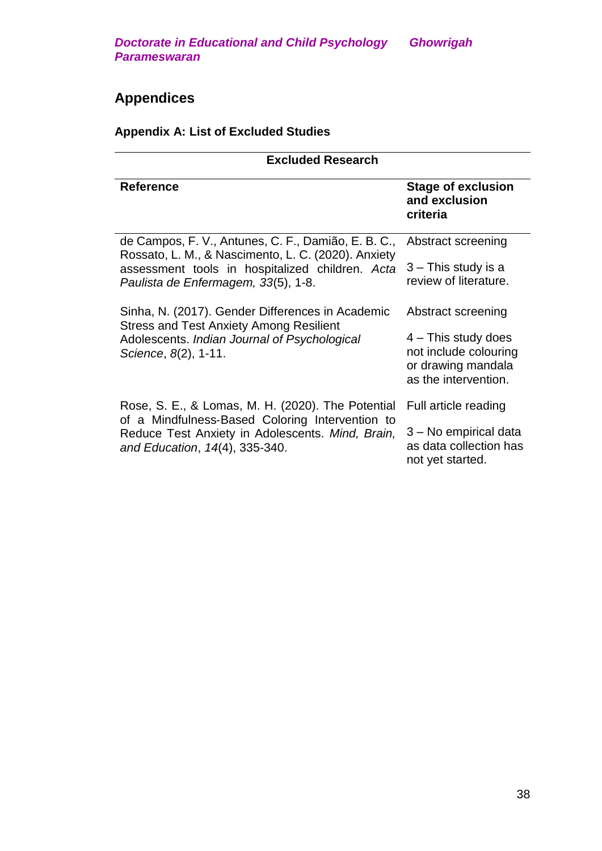# **Appendices**

# **Appendix A: List of Excluded Studies**

| <b>Excluded Research</b>                                                                                                                                                                             |                                                                                                                    |  |  |  |  |
|------------------------------------------------------------------------------------------------------------------------------------------------------------------------------------------------------|--------------------------------------------------------------------------------------------------------------------|--|--|--|--|
| <b>Reference</b>                                                                                                                                                                                     | <b>Stage of exclusion</b><br>and exclusion<br>criteria                                                             |  |  |  |  |
| de Campos, F. V., Antunes, C. F., Damião, E. B. C.,<br>Rossato, L. M., & Nascimento, L. C. (2020). Anxiety<br>assessment tools in hospitalized children. Acta<br>Paulista de Enfermagem, 33(5), 1-8. | Abstract screening<br>$3 -$ This study is a<br>review of literature.                                               |  |  |  |  |
| Sinha, N. (2017). Gender Differences in Academic<br><b>Stress and Test Anxiety Among Resilient</b><br>Adolescents. Indian Journal of Psychological<br>Science, 8(2), 1-11.                           | Abstract screening<br>$4 -$ This study does<br>not include colouring<br>or drawing mandala<br>as the intervention. |  |  |  |  |
| Rose, S. E., & Lomas, M. H. (2020). The Potential<br>of a Mindfulness-Based Coloring Intervention to<br>Reduce Test Anxiety in Adolescents. Mind, Brain,<br>and Education, 14(4), 335-340.           | Full article reading<br>3 – No empirical data<br>as data collection has<br>not yet started.                        |  |  |  |  |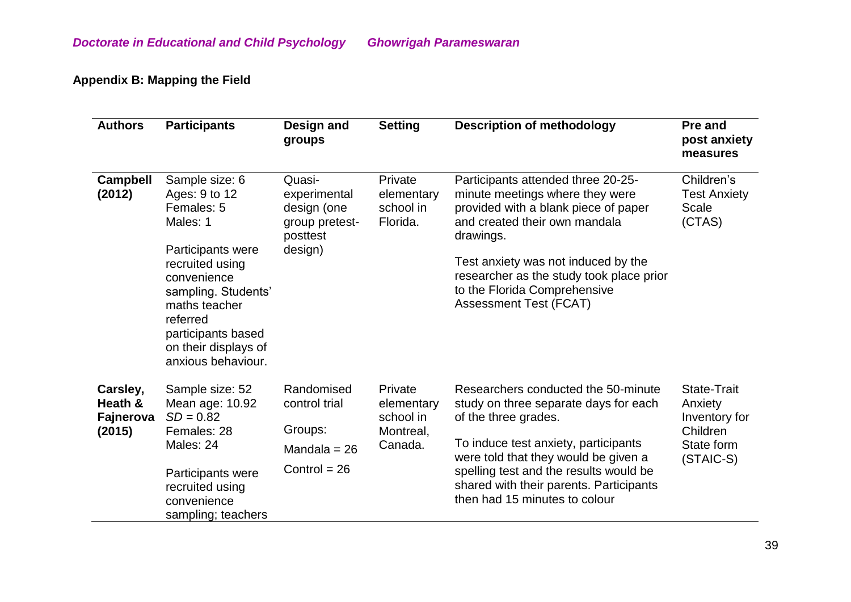# **Appendix B: Mapping the Field**

| <b>Authors</b>                             | <b>Participants</b>                                                                                                                                                                                                                      | Design and<br>groups                                                           | <b>Setting</b>                                             | <b>Description of methodology</b>                                                                                                                                                                                                                                                                               | <b>Pre and</b><br>post anxiety<br>measures                                       |
|--------------------------------------------|------------------------------------------------------------------------------------------------------------------------------------------------------------------------------------------------------------------------------------------|--------------------------------------------------------------------------------|------------------------------------------------------------|-----------------------------------------------------------------------------------------------------------------------------------------------------------------------------------------------------------------------------------------------------------------------------------------------------------------|----------------------------------------------------------------------------------|
| <b>Campbell</b><br>(2012)                  | Sample size: 6<br>Ages: 9 to 12<br>Females: 5<br>Males: 1<br>Participants were<br>recruited using<br>convenience<br>sampling. Students'<br>maths teacher<br>referred<br>participants based<br>on their displays of<br>anxious behaviour. | Quasi-<br>experimental<br>design (one<br>group pretest-<br>posttest<br>design) | Private<br>elementary<br>school in<br>Florida.             | Participants attended three 20-25-<br>minute meetings where they were<br>provided with a blank piece of paper<br>and created their own mandala<br>drawings.<br>Test anxiety was not induced by the<br>researcher as the study took place prior<br>to the Florida Comprehensive<br><b>Assessment Test (FCAT)</b> | Children's<br><b>Test Anxiety</b><br>Scale<br>(CTAS)                             |
| Carsley,<br>Heath &<br>Fajnerova<br>(2015) | Sample size: 52<br>Mean age: 10.92<br>$SD = 0.82$<br>Females: 28<br>Males: 24<br>Participants were<br>recruited using<br>convenience<br>sampling; teachers                                                                               | Randomised<br>control trial<br>Groups:<br>Mandala = $26$<br>Control = $26$     | Private<br>elementary<br>school in<br>Montreal,<br>Canada. | Researchers conducted the 50-minute<br>study on three separate days for each<br>of the three grades.<br>To induce test anxiety, participants<br>were told that they would be given a<br>spelling test and the results would be<br>shared with their parents. Participants<br>then had 15 minutes to colour      | State-Trait<br>Anxiety<br>Inventory for<br>Children<br>State form<br>$(STAIC-S)$ |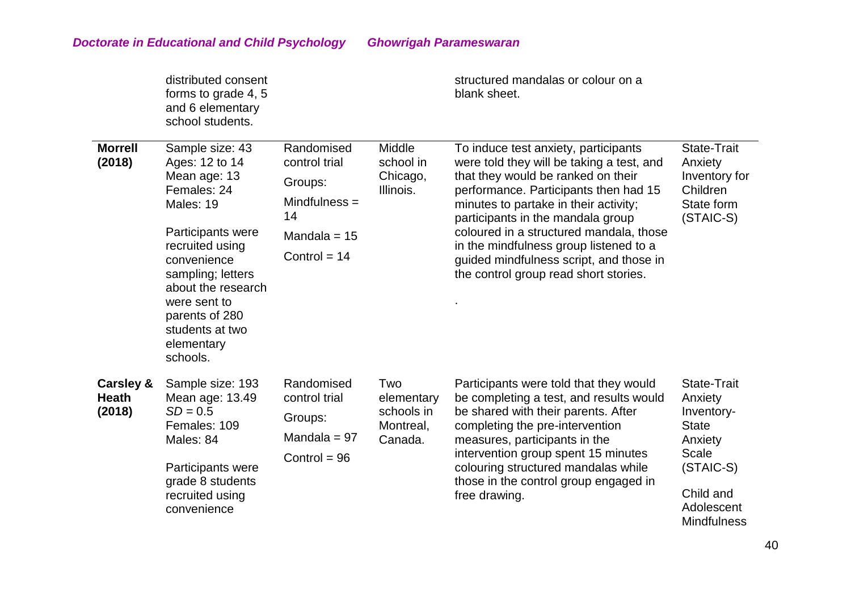|                                     | distributed consent<br>forms to grade 4, 5<br>and 6 elementary<br>school students.                                                                                                                                                                             |                                                                                                     |                                                         | structured mandalas or colour on a<br>blank sheet.                                                                                                                                                                                                                                                                                                                                                                      |                                                                                                                                                        |
|-------------------------------------|----------------------------------------------------------------------------------------------------------------------------------------------------------------------------------------------------------------------------------------------------------------|-----------------------------------------------------------------------------------------------------|---------------------------------------------------------|-------------------------------------------------------------------------------------------------------------------------------------------------------------------------------------------------------------------------------------------------------------------------------------------------------------------------------------------------------------------------------------------------------------------------|--------------------------------------------------------------------------------------------------------------------------------------------------------|
| <b>Morrell</b><br>(2018)            | Sample size: 43<br>Ages: 12 to 14<br>Mean age: 13<br>Females: 24<br>Males: 19<br>Participants were<br>recruited using<br>convenience<br>sampling; letters<br>about the research<br>were sent to<br>parents of 280<br>students at two<br>elementary<br>schools. | Randomised<br>control trial<br>Groups:<br>Mindfulness $=$<br>14<br>Mandala = $15$<br>Control = $14$ | Middle<br>school in<br>Chicago,<br>Illinois.            | To induce test anxiety, participants<br>were told they will be taking a test, and<br>that they would be ranked on their<br>performance. Participants then had 15<br>minutes to partake in their activity;<br>participants in the mandala group<br>coloured in a structured mandala, those<br>in the mindfulness group listened to a<br>guided mindfulness script, and those in<br>the control group read short stories. | <b>State-Trait</b><br>Anxiety<br>Inventory for<br>Children<br>State form<br>$(STAIC-S)$                                                                |
| Carsley &<br><b>Heath</b><br>(2018) | Sample size: 193<br>Mean age: 13.49<br>$SD = 0.5$<br>Females: 109<br>Males: 84<br>Participants were<br>grade 8 students<br>recruited using<br>convenience                                                                                                      | Randomised<br>control trial<br>Groups:<br>Mandala = $97$<br>Control = $96$                          | Two<br>elementary<br>schools in<br>Montreal,<br>Canada. | Participants were told that they would<br>be completing a test, and results would<br>be shared with their parents. After<br>completing the pre-intervention<br>measures, participants in the<br>intervention group spent 15 minutes<br>colouring structured mandalas while<br>those in the control group engaged in<br>free drawing.                                                                                    | <b>State-Trait</b><br>Anxiety<br>Inventory-<br><b>State</b><br>Anxiety<br><b>Scale</b><br>$(STAIC-S)$<br>Child and<br>Adolescent<br><b>Mindfulness</b> |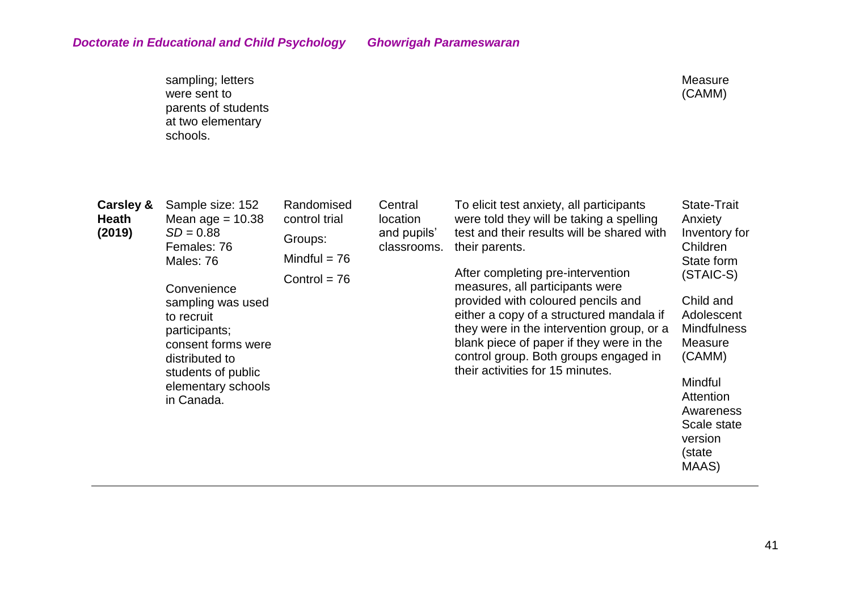|                                     | sampling; letters<br>were sent to<br>parents of students<br>at two elementary<br>schools.                                                                                                                                                              |                                                                            |                                                   |                                                                                                                                                                                                                                                                                                                                                                                                                                                                                      | Measure<br>(CAMM)                                                                                                                                                                                                                               |
|-------------------------------------|--------------------------------------------------------------------------------------------------------------------------------------------------------------------------------------------------------------------------------------------------------|----------------------------------------------------------------------------|---------------------------------------------------|--------------------------------------------------------------------------------------------------------------------------------------------------------------------------------------------------------------------------------------------------------------------------------------------------------------------------------------------------------------------------------------------------------------------------------------------------------------------------------------|-------------------------------------------------------------------------------------------------------------------------------------------------------------------------------------------------------------------------------------------------|
| Carsley &<br><b>Heath</b><br>(2019) | Sample size: 152<br>Mean age $= 10.38$<br>$SD = 0.88$<br>Females: 76<br>Males: 76<br>Convenience<br>sampling was used<br>to recruit<br>participants;<br>consent forms were<br>distributed to<br>students of public<br>elementary schools<br>in Canada. | Randomised<br>control trial<br>Groups:<br>Mindful $= 76$<br>Control = $76$ | Central<br>location<br>and pupils'<br>classrooms. | To elicit test anxiety, all participants<br>were told they will be taking a spelling<br>test and their results will be shared with<br>their parents.<br>After completing pre-intervention<br>measures, all participants were<br>provided with coloured pencils and<br>either a copy of a structured mandala if<br>they were in the intervention group, or a<br>blank piece of paper if they were in the<br>control group. Both groups engaged in<br>their activities for 15 minutes. | State-Trait<br>Anxiety<br>Inventory for<br>Children<br>State form<br>$(STAIC-S)$<br>Child and<br>Adolescent<br><b>Mindfulness</b><br><b>Measure</b><br>(CAMM)<br>Mindful<br>Attention<br>Awareness<br>Scale state<br>version<br>(state<br>MAAS) |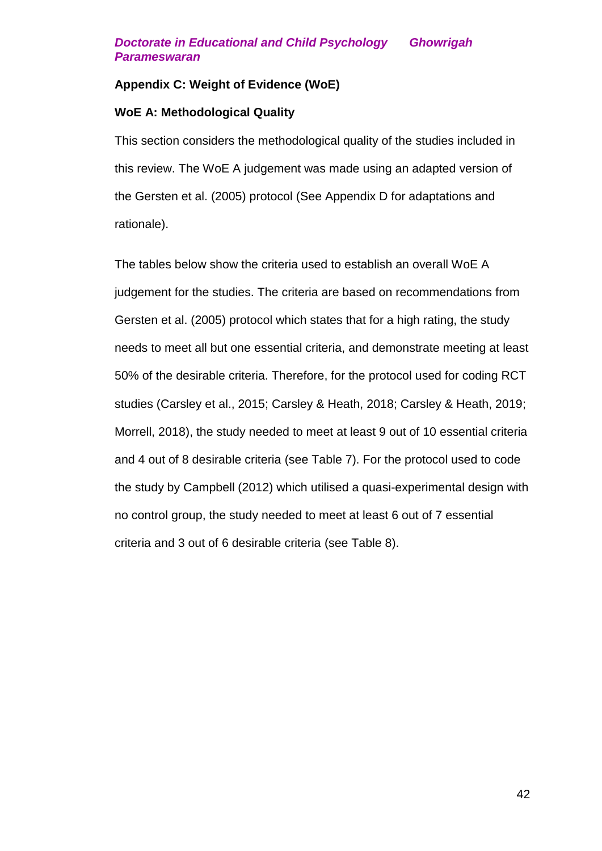# **Appendix C: Weight of Evidence (WoE)**

# **WoE A: Methodological Quality**

This section considers the methodological quality of the studies included in this review. The WoE A judgement was made using an adapted version of the Gersten et al. (2005) protocol (See Appendix D for adaptations and rationale).

The tables below show the criteria used to establish an overall WoE A judgement for the studies. The criteria are based on recommendations from Gersten et al. (2005) protocol which states that for a high rating, the study needs to meet all but one essential criteria, and demonstrate meeting at least 50% of the desirable criteria. Therefore, for the protocol used for coding RCT studies (Carsley et al., 2015; Carsley & Heath, 2018; Carsley & Heath, 2019; Morrell, 2018), the study needed to meet at least 9 out of 10 essential criteria and 4 out of 8 desirable criteria (see Table 7). For the protocol used to code the study by Campbell (2012) which utilised a quasi-experimental design with no control group, the study needed to meet at least 6 out of 7 essential criteria and 3 out of 6 desirable criteria (see Table 8).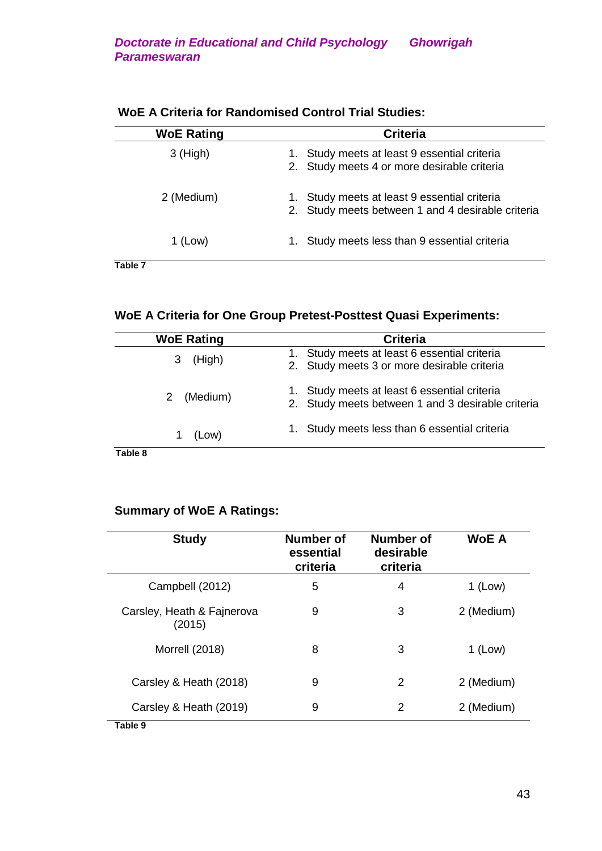| <b>WoE Rating</b> | <b>Criteria</b>                                                                                      |
|-------------------|------------------------------------------------------------------------------------------------------|
| $3$ (High)        | Study meets at least 9 essential criteria<br>1.<br>2. Study meets 4 or more desirable criteria       |
| 2 (Medium)        | Study meets at least 9 essential criteria<br>1.<br>2. Study meets between 1 and 4 desirable criteria |
| 1 (Low)           | Study meets less than 9 essential criteria<br>1.                                                     |
| Table 7           |                                                                                                      |

# **WoE A Criteria for Randomised Control Trial Studies:**

# **WoE A Criteria for One Group Pretest-Posttest Quasi Experiments:**

| <b>WoE Rating</b> | <b>Criteria</b>                                                                                      |
|-------------------|------------------------------------------------------------------------------------------------------|
| (High)<br>3       | 1. Study meets at least 6 essential criteria<br>2. Study meets 3 or more desirable criteria          |
| (Medium)<br>2     | Study meets at least 6 essential criteria<br>1.<br>2. Study meets between 1 and 3 desirable criteria |
| (Low)             | 1. Study meets less than 6 essential criteria                                                        |
| Tahla R           |                                                                                                      |

**Table 8**

# **Summary of WoE A Ratings:**

| <b>Study</b>                         | Number of<br>essential<br>criteria | Number of<br>desirable<br>criteria | <b>WoE A</b> |
|--------------------------------------|------------------------------------|------------------------------------|--------------|
| Campbell (2012)                      | 5                                  | 4                                  | $1$ (Low)    |
| Carsley, Heath & Fajnerova<br>(2015) | 9                                  | 3                                  | 2 (Medium)   |
| <b>Morrell (2018)</b>                | 8                                  | 3                                  | $1$ (Low)    |
| Carsley & Heath (2018)               | 9                                  | 2                                  | 2 (Medium)   |
| Carsley & Heath (2019)               | 9                                  | 2                                  | 2 (Medium)   |
| Table 9                              |                                    |                                    |              |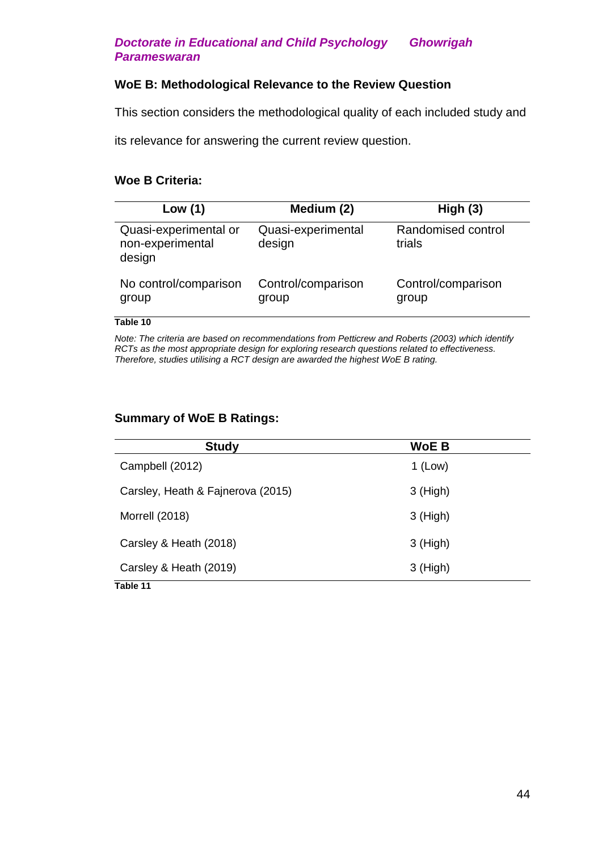## **WoE B: Methodological Relevance to the Review Question**

This section considers the methodological quality of each included study and

its relevance for answering the current review question.

#### **Woe B Criteria:**

| Low $(1)$                                           | Medium (2)                   | High $(3)$                   |
|-----------------------------------------------------|------------------------------|------------------------------|
| Quasi-experimental or<br>non-experimental<br>design | Quasi-experimental<br>design | Randomised control<br>trials |
| No control/comparison<br>group                      | Control/comparison<br>group  | Control/comparison<br>group  |

**Table 10**

*Note: The criteria are based on recommendations from Petticrew and Roberts (2003) which identify RCTs as the most appropriate design for exploring research questions related to effectiveness. Therefore, studies utilising a RCT design are awarded the highest WoE B rating.*

#### **Summary of WoE B Ratings:**

| <b>Study</b>                      | <b>WoE B</b> |
|-----------------------------------|--------------|
| Campbell (2012)                   | $1$ (Low)    |
| Carsley, Heath & Fajnerova (2015) | $3$ (High)   |
| Morrell (2018)                    | $3$ (High)   |
| Carsley & Heath (2018)            | $3$ (High)   |
| Carsley & Heath (2019)            | $3$ (High)   |
| Table 11                          |              |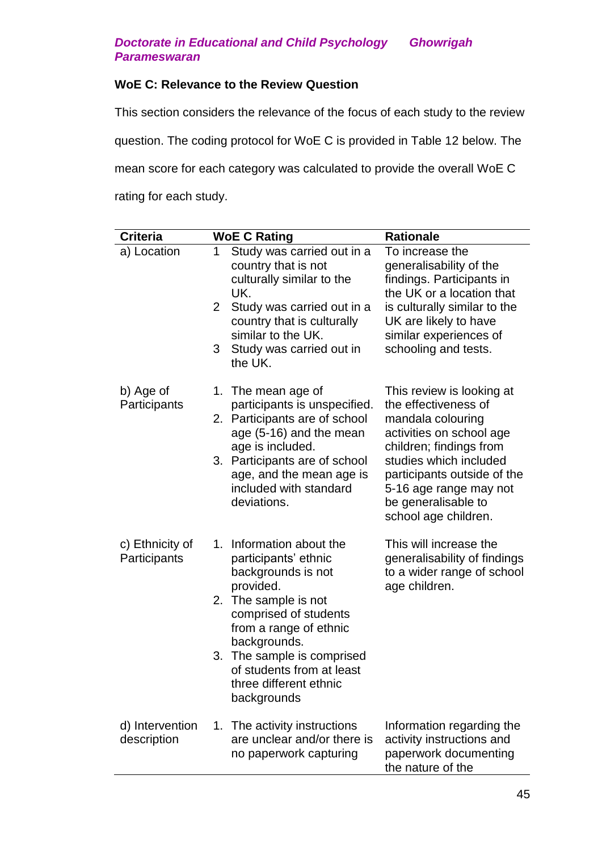# **WoE C: Relevance to the Review Question**

This section considers the relevance of the focus of each study to the review question. The coding protocol for WoE C is provided in Table 12 below. The mean score for each category was calculated to provide the overall WoE C rating for each study.

| <b>Criteria</b>                 | <b>WoE C Rating</b>                                                                                                                                                                                                                                                                | <b>Rationale</b>                                                                                                                                                                                                                                                |
|---------------------------------|------------------------------------------------------------------------------------------------------------------------------------------------------------------------------------------------------------------------------------------------------------------------------------|-----------------------------------------------------------------------------------------------------------------------------------------------------------------------------------------------------------------------------------------------------------------|
| a) Location                     | Study was carried out in a<br>1<br>country that is not<br>culturally similar to the<br>UK.<br>2<br>Study was carried out in a<br>country that is culturally<br>similar to the UK.<br>3<br>Study was carried out in<br>the UK.                                                      | To increase the<br>generalisability of the<br>findings. Participants in<br>the UK or a location that<br>is culturally similar to the<br>UK are likely to have<br>similar experiences of<br>schooling and tests.                                                 |
| b) Age of<br>Participants       | 1. The mean age of<br>participants is unspecified.<br>2. Participants are of school<br>age (5-16) and the mean<br>age is included.<br>3. Participants are of school<br>age, and the mean age is<br>included with standard<br>deviations.                                           | This review is looking at<br>the effectiveness of<br>mandala colouring<br>activities on school age<br>children; findings from<br>studies which included<br>participants outside of the<br>5-16 age range may not<br>be generalisable to<br>school age children. |
| c) Ethnicity of<br>Participants | 1. Information about the<br>participants' ethnic<br>backgrounds is not<br>provided.<br>2. The sample is not<br>comprised of students<br>from a range of ethnic<br>backgrounds.<br>3. The sample is comprised<br>of students from at least<br>three different ethnic<br>backgrounds | This will increase the<br>generalisability of findings<br>to a wider range of school<br>age children.                                                                                                                                                           |
| d) Intervention<br>description  | 1. The activity instructions<br>are unclear and/or there is<br>no paperwork capturing                                                                                                                                                                                              | Information regarding the<br>activity instructions and<br>paperwork documenting<br>the nature of the                                                                                                                                                            |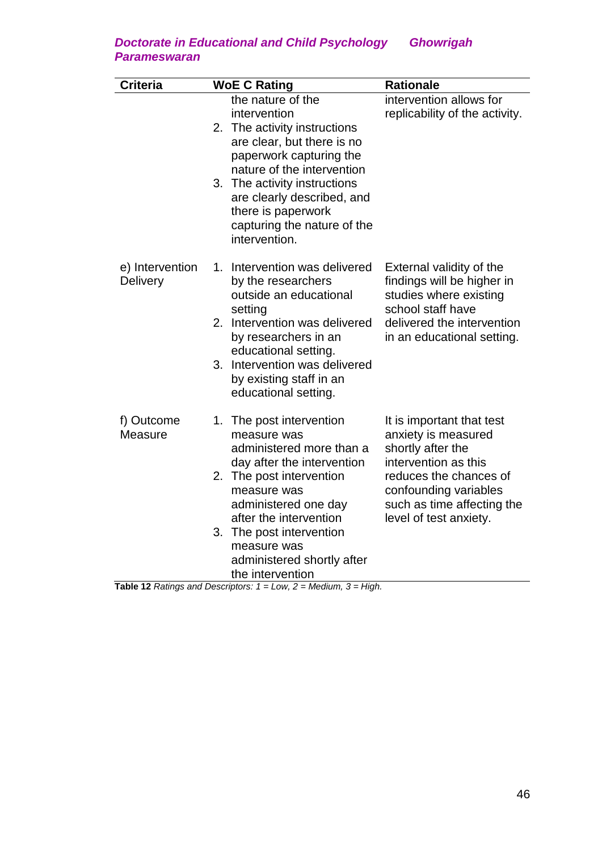| <b>Criteria</b>                    | <b>WoE C Rating</b>                                                                                                                                                                                                                                                                          | <b>Rationale</b>                                                                                                                                                                                         |
|------------------------------------|----------------------------------------------------------------------------------------------------------------------------------------------------------------------------------------------------------------------------------------------------------------------------------------------|----------------------------------------------------------------------------------------------------------------------------------------------------------------------------------------------------------|
|                                    | the nature of the<br>intervention<br>2. The activity instructions<br>are clear, but there is no<br>paperwork capturing the<br>nature of the intervention<br>3. The activity instructions<br>are clearly described, and<br>there is paperwork<br>capturing the nature of the<br>intervention. | intervention allows for<br>replicability of the activity.                                                                                                                                                |
| e) Intervention<br><b>Delivery</b> | 1. Intervention was delivered<br>by the researchers<br>outside an educational<br>setting<br>2. Intervention was delivered<br>by researchers in an<br>educational setting.<br>3. Intervention was delivered<br>by existing staff in an<br>educational setting.                                | External validity of the<br>findings will be higher in<br>studies where existing<br>school staff have<br>delivered the intervention<br>in an educational setting.                                        |
| f) Outcome<br><b>Measure</b>       | 1. The post intervention<br>measure was<br>administered more than a<br>day after the intervention<br>2. The post intervention<br>measure was<br>administered one day<br>after the intervention<br>3. The post intervention<br>measure was<br>administered shortly after<br>the intervention  | It is important that test<br>anxiety is measured<br>shortly after the<br>intervention as this<br>reduces the chances of<br>confounding variables<br>such as time affecting the<br>level of test anxiety. |

**Table 12** *Ratings and Descriptors: 1 = Low, 2 = Medium, 3 = High.*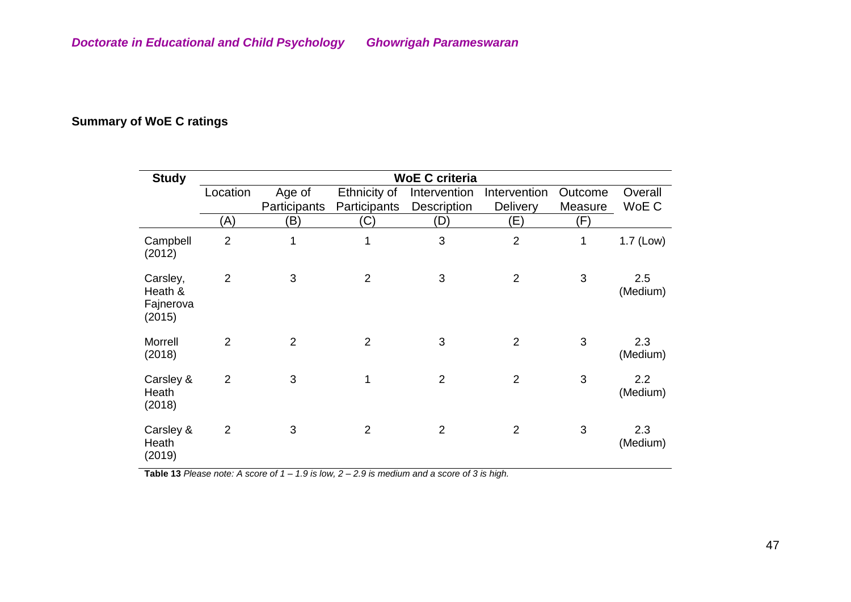# **Summary of WoE C ratings**

| <b>Study</b>                               |                |                |                | <b>WoE C criteria</b> |                 |         |                 |
|--------------------------------------------|----------------|----------------|----------------|-----------------------|-----------------|---------|-----------------|
|                                            | Location       | Age of         | Ethnicity of   | Intervention          | Intervention    | Outcome | Overall         |
|                                            |                | Participants   | Participants   | Description           | <b>Delivery</b> | Measure | WoE C           |
|                                            | (A)            | (B)            | (C)            | (D)                   | (E)             | (F)     |                 |
| Campbell<br>(2012)                         | $\overline{2}$ | 1              | 1              | 3                     | $\overline{2}$  | 1       | $1.7$ (Low)     |
| Carsley,<br>Heath &<br>Fajnerova<br>(2015) | $\overline{2}$ | 3              | $\overline{2}$ | 3                     | $\overline{2}$  | 3       | 2.5<br>(Medium) |
| Morrell<br>(2018)                          | $\overline{2}$ | $\overline{2}$ | $\overline{2}$ | 3                     | $\overline{2}$  | 3       | 2.3<br>(Medium) |
| Carsley &<br>Heath<br>(2018)               | $\overline{2}$ | 3              |                | $\overline{2}$        | $\overline{2}$  | 3       | 2.2<br>(Medium) |
| Carsley &<br>Heath<br>(2019)               | $\overline{2}$ | 3              | 2              | $\overline{2}$        | $\overline{2}$  | 3       | 2.3<br>(Medium) |

**Table 13** *Please note: A score of 1 – 1.9 is low, 2 – 2.9 is medium and a score of 3 is high.*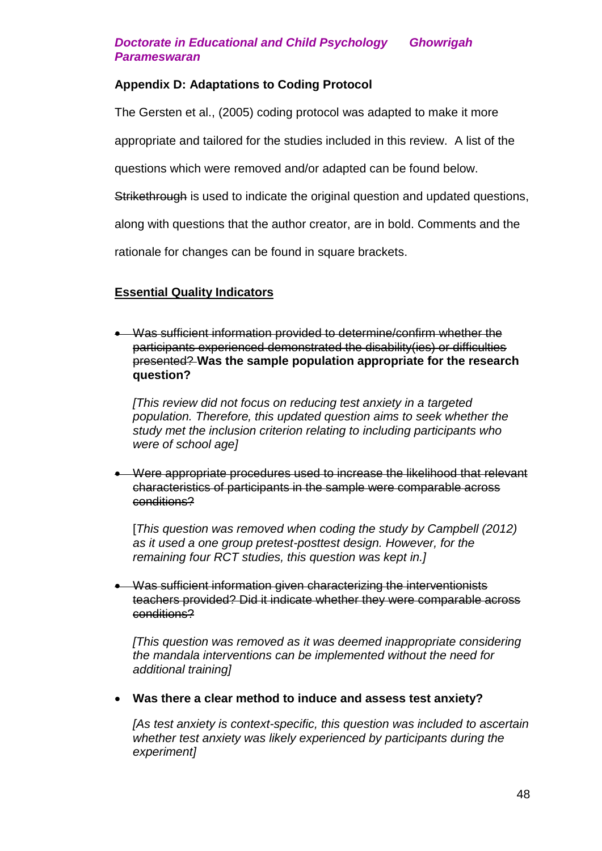# **Appendix D: Adaptations to Coding Protocol**

The Gersten et al., (2005) coding protocol was adapted to make it more

appropriate and tailored for the studies included in this review. A list of the

questions which were removed and/or adapted can be found below.

Strikethrough is used to indicate the original question and updated questions,

along with questions that the author creator, are in bold. Comments and the

rationale for changes can be found in square brackets.

# **Essential Quality Indicators**

 Was sufficient information provided to determine/confirm whether the participants experienced demonstrated the disability(ies) or difficulties presented? **Was the sample population appropriate for the research question?**

*[This review did not focus on reducing test anxiety in a targeted population. Therefore, this updated question aims to seek whether the study met the inclusion criterion relating to including participants who were of school age]*

Were appropriate procedures used to increase the likelihood that relevant characteristics of participants in the sample were comparable across conditions?

[*This question was removed when coding the study by Campbell (2012) as it used a one group pretest-posttest design. However, for the remaining four RCT studies, this question was kept in.]*

• Was sufficient information given characterizing the interventionists teachers provided? Did it indicate whether they were comparable across conditions?

*[This question was removed as it was deemed inappropriate considering the mandala interventions can be implemented without the need for additional training]*

**Was there a clear method to induce and assess test anxiety?**

*[As test anxiety is context-specific, this question was included to ascertain whether test anxiety was likely experienced by participants during the experiment]*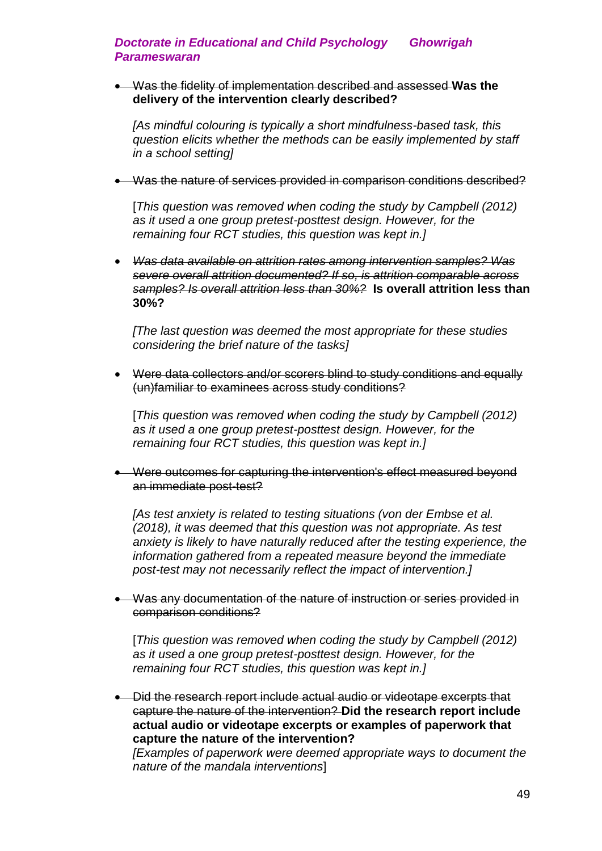Was the fidelity of implementation described and assessed **Was the delivery of the intervention clearly described?**

*[As mindful colouring is typically a short mindfulness-based task, this question elicits whether the methods can be easily implemented by staff in a school setting]*

Was the nature of services provided in comparison conditions described?

[*This question was removed when coding the study by Campbell (2012) as it used a one group pretest-posttest design. However, for the remaining four RCT studies, this question was kept in.]*

 *Was data available on attrition rates among intervention samples? Was severe overall attrition documented? If so, is attrition comparable across samples? Is overall attrition less than 30%?* **Is overall attrition less than 30%?**

*[The last question was deemed the most appropriate for these studies considering the brief nature of the tasks]*

Were data collectors and/or scorers blind to study conditions and equally (un)familiar to examinees across study conditions?

[*This question was removed when coding the study by Campbell (2012) as it used a one group pretest-posttest design. However, for the remaining four RCT studies, this question was kept in.]*

 Were outcomes for capturing the intervention's effect measured beyond an immediate post-test?

*[As test anxiety is related to testing situations (von der Embse et al. (2018), it was deemed that this question was not appropriate. As test anxiety is likely to have naturally reduced after the testing experience, the information gathered from a repeated measure beyond the immediate post-test may not necessarily reflect the impact of intervention.]*

Was any documentation of the nature of instruction or series provided in comparison conditions?

[*This question was removed when coding the study by Campbell (2012) as it used a one group pretest-posttest design. However, for the remaining four RCT studies, this question was kept in.]*

• Did the research report include actual audio or videotape excerpts that capture the nature of the intervention? **Did the research report include actual audio or videotape excerpts or examples of paperwork that capture the nature of the intervention?**

*[Examples of paperwork were deemed appropriate ways to document the nature of the mandala interventions*]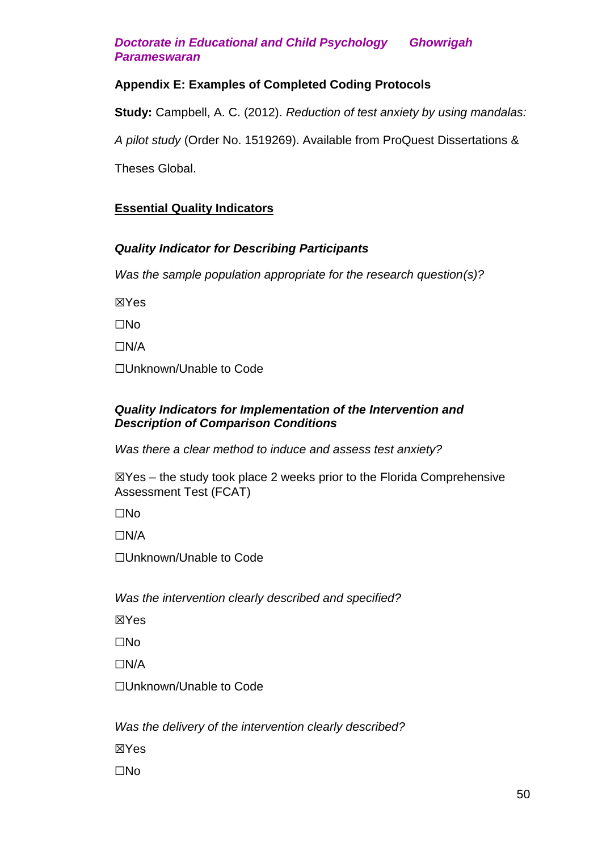# **Appendix E: Examples of Completed Coding Protocols**

**Study:** Campbell, A. C. (2012). *Reduction of test anxiety by using mandalas:* 

*A pilot study* (Order No. 1519269). Available from ProQuest Dissertations &

Theses Global.

# **Essential Quality Indicators**

# *Quality Indicator for Describing Participants*

*Was the sample population appropriate for the research question(s)?*

☒Yes

☐No

☐N/A

☐Unknown/Unable to Code

# *Quality Indicators for Implementation of the Intervention and Description of Comparison Conditions*

*Was there a clear method to induce and assess test anxiety?*

 $\mathbb{Z}$ Yes – the study took place 2 weeks prior to the Florida Comprehensive Assessment Test (FCAT)

☐No

☐N/A

☐Unknown/Unable to Code

*Was the intervention clearly described and specified?* 

☒Yes

☐No

☐N/A

☐Unknown/Unable to Code

*Was the delivery of the intervention clearly described?* 

☒Yes

☐No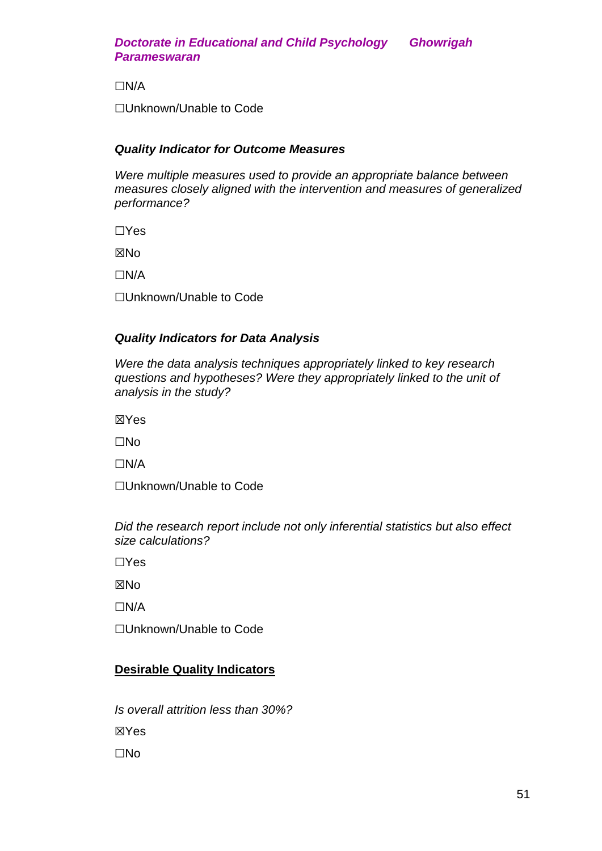☐N/A

☐Unknown/Unable to Code

# *Quality Indicator for Outcome Measures*

*Were multiple measures used to provide an appropriate balance between measures closely aligned with the intervention and measures of generalized performance?* 

☐Yes

☒No

☐N/A

☐Unknown/Unable to Code

# *Quality Indicators for Data Analysis*

*Were the data analysis techniques appropriately linked to key research questions and hypotheses? Were they appropriately linked to the unit of analysis in the study?* 

☒Yes

☐No

 $\Box$ N/A

☐Unknown/Unable to Code

*Did the research report include not only inferential statistics but also effect size calculations?* 

☐Yes

☒No

☐N/A

☐Unknown/Unable to Code

# **Desirable Quality Indicators**

*Is overall attrition less than 30%?*  ☒Yes ☐No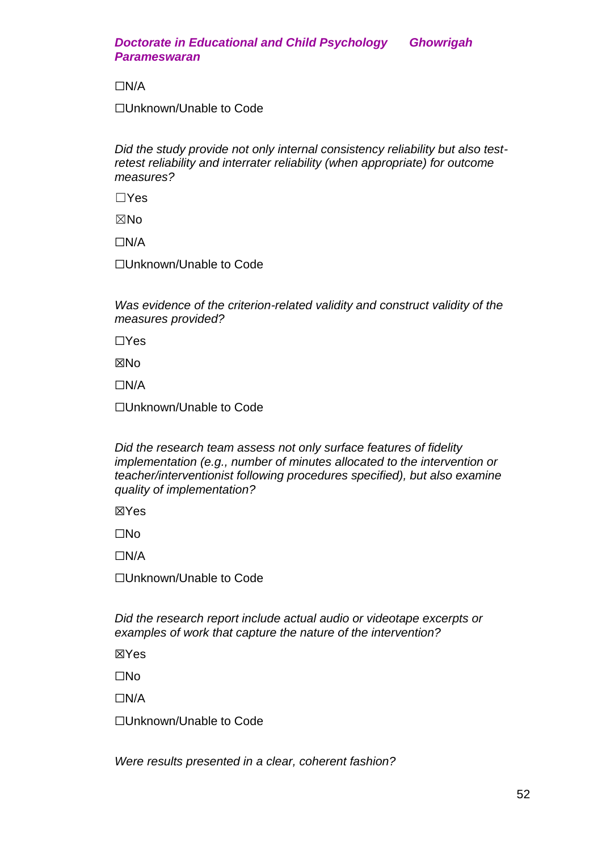☐N/A

☐Unknown/Unable to Code

*Did the study provide not only internal consistency reliability but also testretest reliability and interrater reliability (when appropriate) for outcome measures?* 

☐Yes

☒No

☐N/A

☐Unknown/Unable to Code

*Was evidence of the criterion-related validity and construct validity of the measures provided?* 

☐Yes

☒No

☐N/A

☐Unknown/Unable to Code

*Did the research team assess not only surface features of fidelity implementation (e.g., number of minutes allocated to the intervention or teacher/interventionist following procedures specified), but also examine quality of implementation?* 

☒Yes

☐No

☐N/A

☐Unknown/Unable to Code

*Did the research report include actual audio or videotape excerpts or examples of work that capture the nature of the intervention?* 

☒Yes

☐No

☐N/A

☐Unknown/Unable to Code

*Were results presented in a clear, coherent fashion?*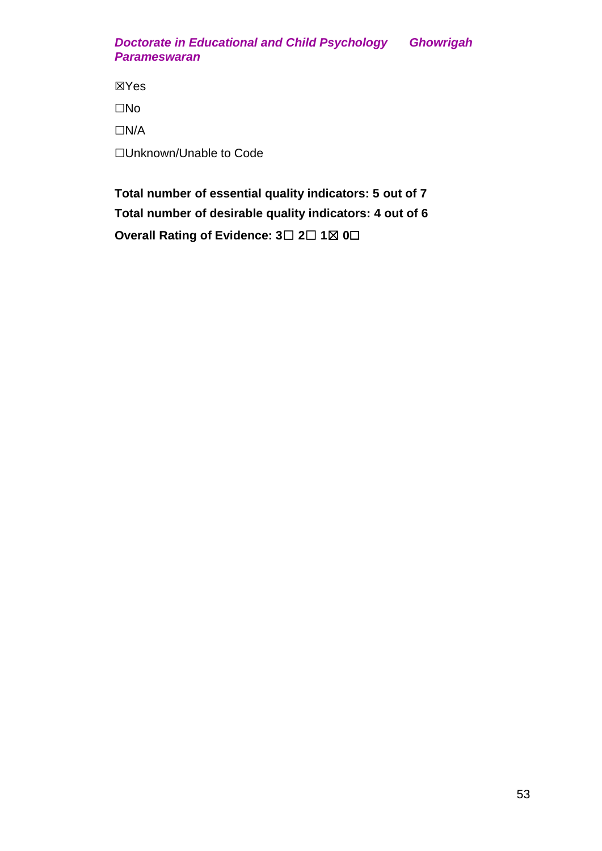☒Yes ☐No ☐N/A ☐Unknown/Unable to Code

**Total number of essential quality indicators: 5 out of 7 Total number of desirable quality indicators: 4 out of 6 Overall Rating of Evidence: 3**☐ **2**☐ **1**☒ **0**☐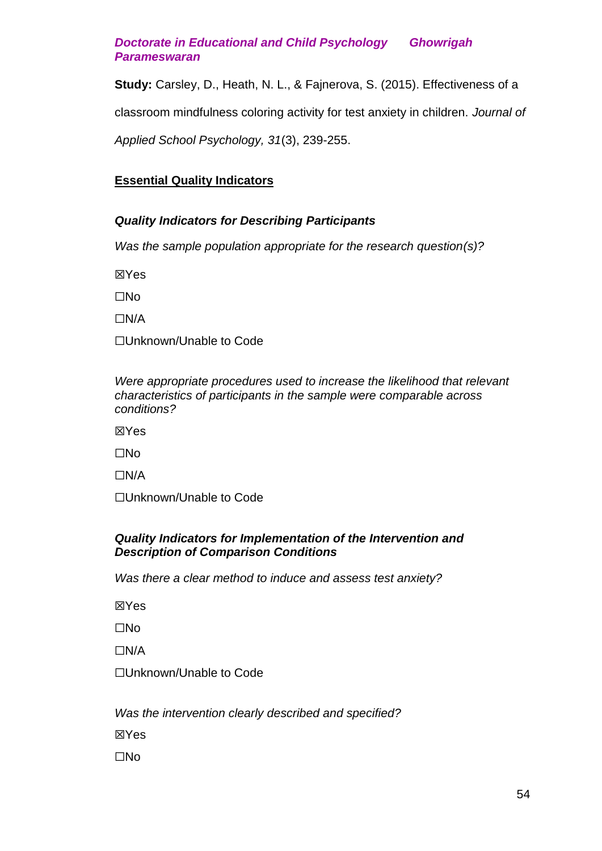**Study:** Carsley, D., Heath, N. L., & Fajnerova, S. (2015). Effectiveness of a

classroom mindfulness coloring activity for test anxiety in children. *Journal of* 

*Applied School Psychology, 31*(3), 239-255.

# **Essential Quality Indicators**

# *Quality Indicators for Describing Participants*

*Was the sample population appropriate for the research question(s)?*

☒Yes

☐No

☐N/A

☐Unknown/Unable to Code

#### *Were appropriate procedures used to increase the likelihood that relevant characteristics of participants in the sample were comparable across conditions?*

☒Yes

☐No

☐N/A

☐Unknown/Unable to Code

# *Quality Indicators for Implementation of the Intervention and Description of Comparison Conditions*

*Was there a clear method to induce and assess test anxiety?*

☒Yes

☐No

☐N/A

☐Unknown/Unable to Code

*Was the intervention clearly described and specified?* 

☒Yes

☐No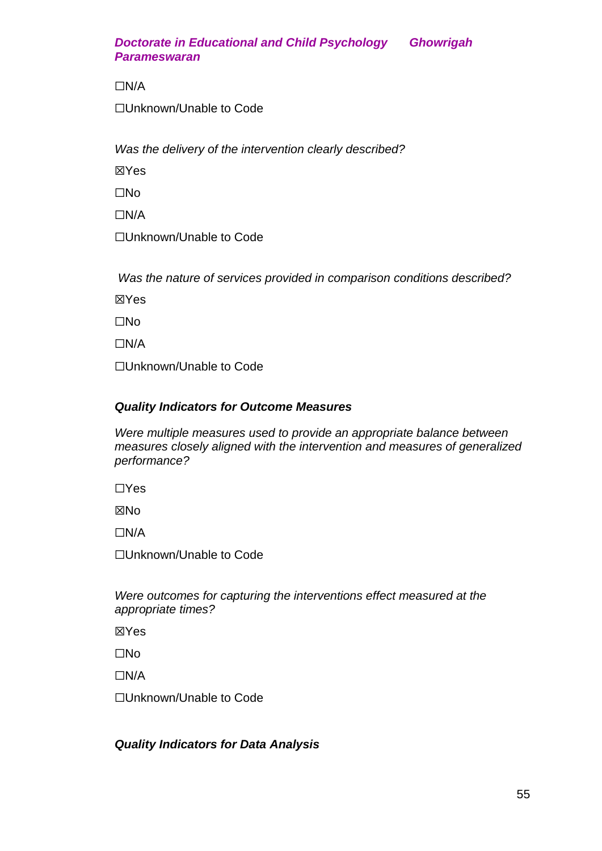☐N/A

☐Unknown/Unable to Code

*Was the delivery of the intervention clearly described?* 

☒Yes

☐No

☐N/A

☐Unknown/Unable to Code

*Was the nature of services provided in comparison conditions described?* 

☒Yes

☐No

☐N/A

☐Unknown/Unable to Code

# *Quality Indicators for Outcome Measures*

*Were multiple measures used to provide an appropriate balance between measures closely aligned with the intervention and measures of generalized performance?* 

☐Yes

☒No

☐N/A

☐Unknown/Unable to Code

*Were outcomes for capturing the interventions effect measured at the appropriate times?* 

☒Yes

☐No

☐N/A

☐Unknown/Unable to Code

# *Quality Indicators for Data Analysis*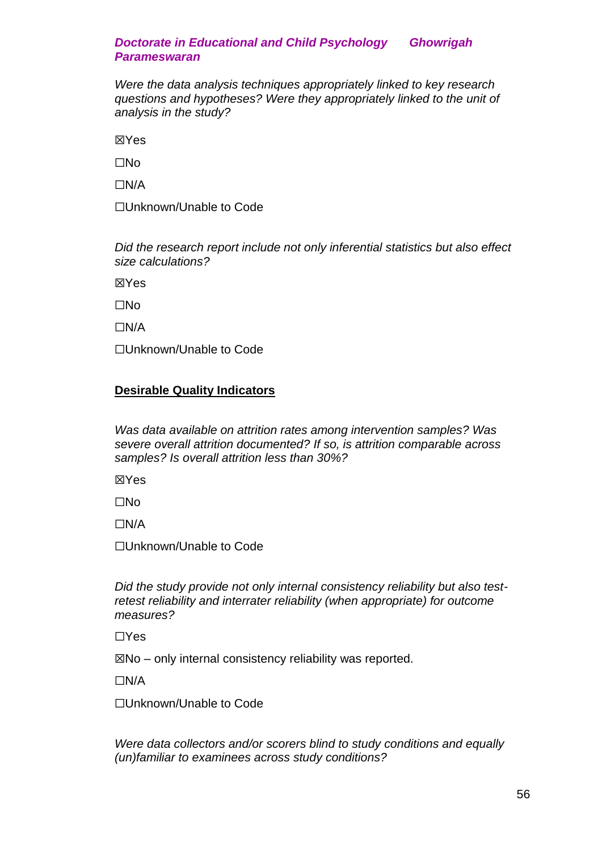*Were the data analysis techniques appropriately linked to key research questions and hypotheses? Were they appropriately linked to the unit of analysis in the study?* 

☒Yes

☐No

 $\Box$ N/A

☐Unknown/Unable to Code

*Did the research report include not only inferential statistics but also effect size calculations?* 

☒Yes

☐No

☐N/A

☐Unknown/Unable to Code

#### **Desirable Quality Indicators**

*Was data available on attrition rates among intervention samples? Was severe overall attrition documented? If so, is attrition comparable across samples? Is overall attrition less than 30%?* 

☒Yes

☐No

☐N/A

☐Unknown/Unable to Code

*Did the study provide not only internal consistency reliability but also testretest reliability and interrater reliability (when appropriate) for outcome measures?* 

☐Yes

 $\boxtimes$ No – only internal consistency reliability was reported.

☐N/A

☐Unknown/Unable to Code

*Were data collectors and/or scorers blind to study conditions and equally (un)familiar to examinees across study conditions?*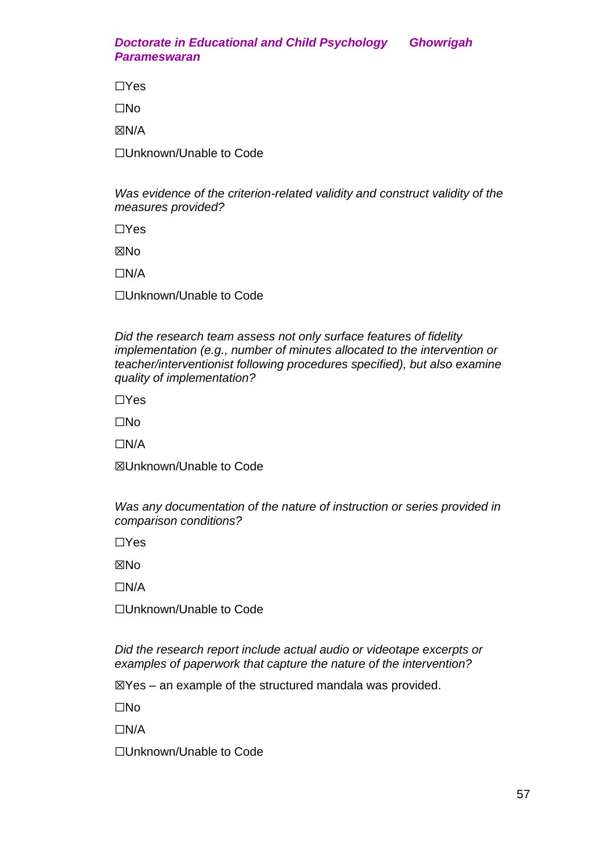☐Yes

☐No

☒N/A

☐Unknown/Unable to Code

*Was evidence of the criterion-related validity and construct validity of the measures provided?* 

☐Yes

☒No

☐N/A

☐Unknown/Unable to Code

*Did the research team assess not only surface features of fidelity implementation (e.g., number of minutes allocated to the intervention or teacher/interventionist following procedures specified), but also examine quality of implementation?* 

☐Yes

☐No

☐N/A

☒Unknown/Unable to Code

*Was any documentation of the nature of instruction or series provided in comparison conditions?* 

☐Yes

**XNo** 

☐N/A

☐Unknown/Unable to Code

*Did the research report include actual audio or videotape excerpts or examples of paperwork that capture the nature of the intervention?* 

 $\mathbb{Z}$ Yes – an example of the structured mandala was provided.

☐No

☐N/A

☐Unknown/Unable to Code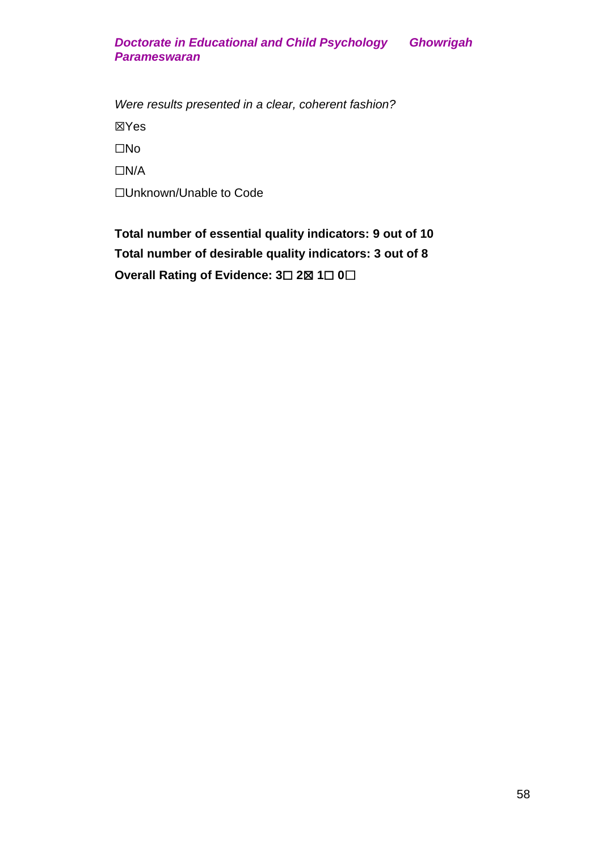*Were results presented in a clear, coherent fashion?*  ☒Yes ☐No ☐N/A ☐Unknown/Unable to Code

**Total number of essential quality indicators: 9 out of 10 Total number of desirable quality indicators: 3 out of 8 Overall Rating of Evidence: 3**☐ **2**☒ **1**☐ **0**☐